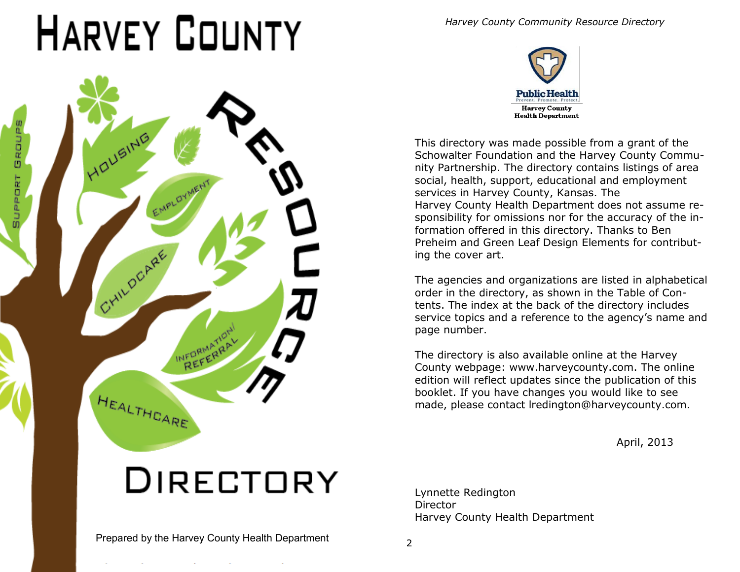# *Harvey County Community Resource Directory*



*Harvey County Community Resource Directory* 



This directory was made possible from a grant of the Schowalter Foundation and the Harvey County Community Partnership. The directory contains listings of area social, health, support, educational and employment services in Harvey County, Kansas. The Harvey County Health Department does not assume responsibility for omissions nor for the accuracy of the information offered in this directory. Thanks to Ben Preheim and Green Leaf Design Elements for contributing the cover art.

The agencies and organizations are listed in alphabetical order in the directory, as shown in the Table of Contents. The index at the back of the directory includes service topics and a reference to the agency's name and page number.

The directory is also available online at the Harvey County webpage: www.harveycounty.com. The online edition will reflect updates since the publication of this booklet. If you have changes you would like to see made, please contact lredington@harveycounty.com.

April, 2013

# **DIRECTORY**

Lynnette Redington Director Harvey County Health Department

Prepared by the Harvey County Health Department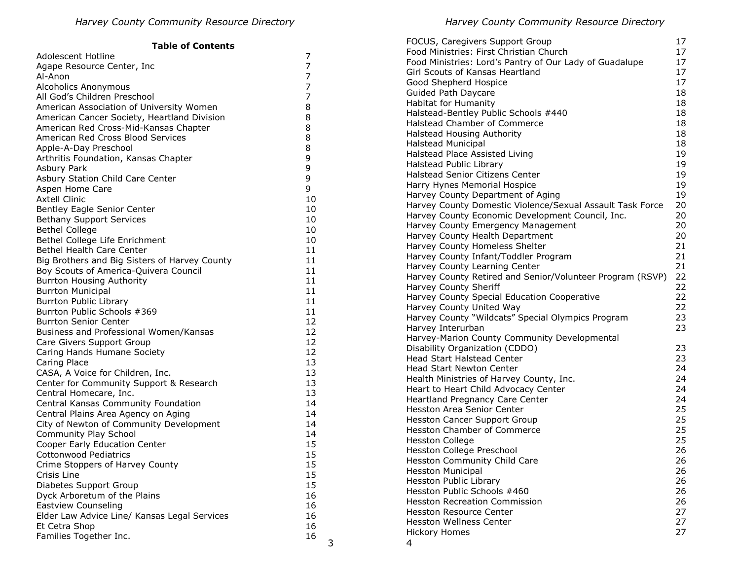| <b>Table of Contents</b>                      |    | FOCUS, Caregivers Support Group                           | 17       |
|-----------------------------------------------|----|-----------------------------------------------------------|----------|
| Adolescent Hotline                            | 7  | Food Ministries: First Christian Church                   | 17       |
| Agape Resource Center, Inc                    | 7  | Food Ministries: Lord's Pantry of Our Lady of Guadalupe   | 17       |
| Al-Anon                                       | 7  | Girl Scouts of Kansas Heartland                           | 17       |
| Alcoholics Anonymous                          | 7  | Good Shepherd Hospice                                     | 17       |
| All God's Children Preschool                  | 7  | Guided Path Daycare                                       | 18       |
| American Association of University Women      | 8  | Habitat for Humanity                                      | 18       |
| American Cancer Society, Heartland Division   | 8  | Halstead-Bentley Public Schools #440                      | 18       |
| American Red Cross-Mid-Kansas Chapter         | 8  | Halstead Chamber of Commerce                              | 18       |
| American Red Cross Blood Services             | 8  | Halstead Housing Authority                                | 18       |
| Apple-A-Day Preschool                         | 8  | <b>Halstead Municipal</b>                                 | 18       |
|                                               | 9  | Halstead Place Assisted Living                            | 19       |
| Arthritis Foundation, Kansas Chapter          |    | Halstead Public Library                                   | 19       |
| Asbury Park                                   | 9  | Halstead Senior Citizens Center                           | 19       |
| Asbury Station Child Care Center              | 9  | Harry Hynes Memorial Hospice                              | 19       |
| Aspen Home Care                               | 9  | Harvey County Department of Aging                         | 19       |
| <b>Axtell Clinic</b>                          | 10 | Harvey County Domestic Violence/Sexual Assault Task Force | 20       |
| Bentley Eagle Senior Center                   | 10 | Harvey County Economic Development Council, Inc.          | 20       |
| <b>Bethany Support Services</b>               | 10 | Harvey County Emergency Management                        | 20       |
| <b>Bethel College</b>                         | 10 | Harvey County Health Department                           | 20       |
| Bethel College Life Enrichment                | 10 | Harvey County Homeless Shelter                            | 21       |
| Bethel Health Care Center                     | 11 | Harvey County Infant/Toddler Program                      | 21       |
| Big Brothers and Big Sisters of Harvey County | 11 | Harvey County Learning Center                             | 21       |
| Boy Scouts of America-Quivera Council         | 11 | Harvey County Retired and Senior/Volunteer Program (RSVP) | 22       |
| <b>Burrton Housing Authority</b>              | 11 | Harvey County Sheriff                                     | 22       |
| <b>Burrton Municipal</b>                      | 11 |                                                           | 22       |
| <b>Burrton Public Library</b>                 | 11 | Harvey County Special Education Cooperative               | 22       |
| Burrton Public Schools #369                   | 11 | Harvey County United Way                                  |          |
| <b>Burrton Senior Center</b>                  | 12 | Harvey County "Wildcats" Special Olympics Program         | 23<br>23 |
| Business and Professional Women/Kansas        | 12 | Harvey Interurban                                         |          |
| Care Givers Support Group                     | 12 | Harvey-Marion County Community Developmental              |          |
| Caring Hands Humane Society                   | 12 | Disability Organization (CDDO)                            | 23       |
| Caring Place                                  | 13 | Head Start Halstead Center                                | 23       |
| CASA, A Voice for Children, Inc.              | 13 | Head Start Newton Center                                  | 24       |
| Center for Community Support & Research       | 13 | Health Ministries of Harvey County, Inc.                  | 24       |
| Central Homecare, Inc.                        | 13 | Heart to Heart Child Advocacy Center                      | 24       |
| Central Kansas Community Foundation           | 14 | Heartland Pregnancy Care Center                           | 24       |
| Central Plains Area Agency on Aging           | 14 | Hesston Area Senior Center                                | 25       |
| City of Newton of Community Development       | 14 | Hesston Cancer Support Group                              | 25       |
| Community Play School                         | 14 | Hesston Chamber of Commerce                               | 25       |
| Cooper Early Education Center                 | 15 | <b>Hesston College</b>                                    | 25       |
| Cottonwood Pediatrics                         | 15 | Hesston College Preschool                                 | 26       |
| Crime Stoppers of Harvey County               | 15 | Hesston Community Child Care                              | 26       |
| Crisis Line                                   | 15 | <b>Hesston Municipal</b>                                  | 26       |
| Diabetes Support Group                        | 15 | Hesston Public Library                                    | 26       |
| Dyck Arboretum of the Plains                  | 16 | Hesston Public Schools #460                               | 26       |
| <b>Eastview Counseling</b>                    | 16 | <b>Hesston Recreation Commission</b>                      | 26       |
| Elder Law Advice Line/ Kansas Legal Services  | 16 | <b>Hesston Resource Center</b>                            | 27       |
| Et Cetra Shop                                 | 16 | <b>Hesston Wellness Center</b>                            | 27       |
| Families Together Inc.                        | 16 | <b>Hickory Homes</b>                                      | 27       |
|                                               | 3  | 4                                                         |          |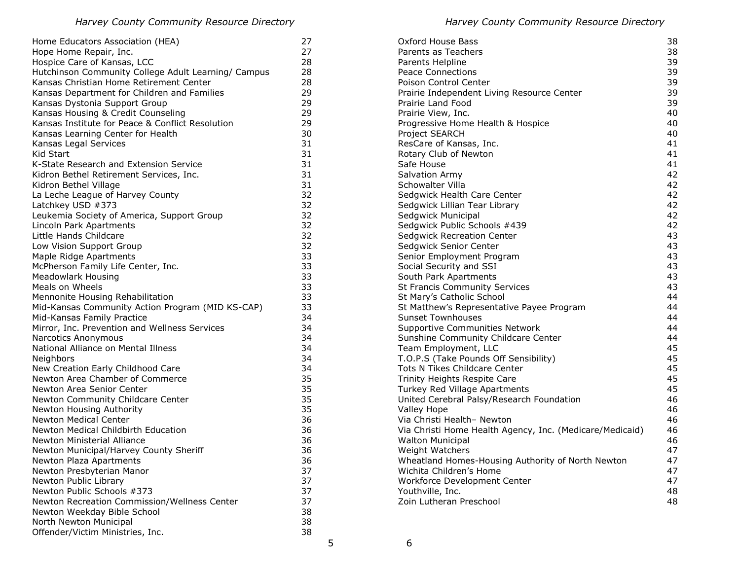| Home Educators Association (HEA)                    | 27       |  |
|-----------------------------------------------------|----------|--|
| Hope Home Repair, Inc.                              | 27       |  |
| Hospice Care of Kansas, LCC                         |          |  |
| Hutchinson Community College Adult Learning/ Campus | 28       |  |
| Kansas Christian Home Retirement Center             | 28       |  |
| Kansas Department for Children and Families         | 29       |  |
| Kansas Dystonia Support Group                       | 29       |  |
| Kansas Housing & Credit Counseling                  | 29       |  |
| Kansas Institute for Peace & Conflict Resolution    | 29       |  |
| Kansas Learning Center for Health                   | 30       |  |
| Kansas Legal Services                               | 31       |  |
| Kid Start                                           | 31       |  |
| K-State Research and Extension Service              | 31       |  |
| Kidron Bethel Retirement Services, Inc.             | 31       |  |
| Kidron Bethel Village                               | 31       |  |
| La Leche League of Harvey County                    | 32       |  |
| Latchkey USD #373                                   | 32       |  |
| Leukemia Society of America, Support Group          | 32       |  |
| Lincoln Park Apartments                             | 32       |  |
| Little Hands Childcare                              | 32       |  |
| Low Vision Support Group                            | 32       |  |
| Maple Ridge Apartments                              | 33       |  |
| McPherson Family Life Center, Inc.                  | 33       |  |
| <b>Meadowlark Housing</b>                           | 33       |  |
| Meals on Wheels                                     | 33       |  |
| Mennonite Housing Rehabilitation                    | 33       |  |
| Mid-Kansas Community Action Program (MID KS-CAP)    | 33       |  |
| Mid-Kansas Family Practice                          |          |  |
| Mirror, Inc. Prevention and Wellness Services       |          |  |
| Narcotics Anonymous                                 |          |  |
| National Alliance on Mental Illness                 |          |  |
| Neighbors                                           | 34       |  |
| New Creation Early Childhood Care                   | 34       |  |
| Newton Area Chamber of Commerce                     | 35       |  |
| Newton Area Senior Center                           | 35       |  |
| Newton Community Childcare Center                   | 35       |  |
| Newton Housing Authority                            | 35       |  |
| <b>Newton Medical Center</b>                        | 36       |  |
| Newton Medical Childbirth Education                 | 36       |  |
| Newton Ministerial Alliance                         | 36       |  |
| Newton Municipal/Harvey County Sheriff              | 36       |  |
| Newton Plaza Apartments                             | 36       |  |
| Newton Presbyterian Manor                           | 37<br>37 |  |
| Newton Public Library                               |          |  |
| Newton Public Schools #373                          | 37       |  |
| Newton Recreation Commission/Wellness Center        | 37       |  |
| Newton Weekday Bible School                         | 38       |  |
| North Newton Municipal                              | 38       |  |
| Offender/Victim Ministries, Inc.                    | 38       |  |

| Oxford House Bass                                        | 38 |
|----------------------------------------------------------|----|
| Parents as Teachers                                      | 38 |
| Parents Helpline                                         | 39 |
| <b>Peace Connections</b>                                 | 39 |
| <b>Poison Control Center</b>                             | 39 |
| Prairie Independent Living Resource Center               | 39 |
| Prairie Land Food                                        | 39 |
| Prairie View, Inc.                                       | 40 |
| Progressive Home Health & Hospice                        | 40 |
| Project SEARCH                                           | 40 |
| ResCare of Kansas, Inc.                                  | 41 |
| Rotary Club of Newton                                    | 41 |
| Safe House                                               | 41 |
| <b>Salvation Army</b>                                    | 42 |
| Schowalter Villa                                         | 42 |
| Sedgwick Health Care Center                              | 42 |
| Sedgwick Lillian Tear Library                            | 42 |
| Sedgwick Municipal                                       | 42 |
| Sedgwick Public Schools #439                             | 42 |
| <b>Sedgwick Recreation Center</b>                        | 43 |
| Sedgwick Senior Center                                   | 43 |
| Senior Employment Program                                | 43 |
| Social Security and SSI                                  | 43 |
| South Park Apartments                                    | 43 |
| <b>St Francis Community Services</b>                     | 43 |
| St Mary's Catholic School                                | 44 |
| St Matthew's Representative Payee Program                | 44 |
| <b>Sunset Townhouses</b>                                 | 44 |
| Supportive Communities Network                           | 44 |
| Sunshine Community Childcare Center                      | 44 |
| Team Employment, LLC                                     | 45 |
| T.O.P.S (Take Pounds Off Sensibility)                    | 45 |
| <b>Tots N Tikes Childcare Center</b>                     | 45 |
| Trinity Heights Respite Care                             | 45 |
| Turkey Red Village Apartments                            | 45 |
| United Cerebral Palsy/Research Foundation                | 46 |
| Valley Hope                                              | 46 |
| Via Christi Health- Newton                               | 46 |
| Via Christi Home Health Agency, Inc. (Medicare/Medicaid) | 46 |
| <b>Walton Municipal</b>                                  | 46 |
| Weight Watchers                                          | 47 |
| Wheatland Homes-Housing Authority of North Newton        | 47 |
| Wichita Children's Home                                  | 47 |
| Workforce Development Center                             | 47 |
| Youthville, Inc.                                         | 48 |
| Zoin Lutheran Preschool                                  | 48 |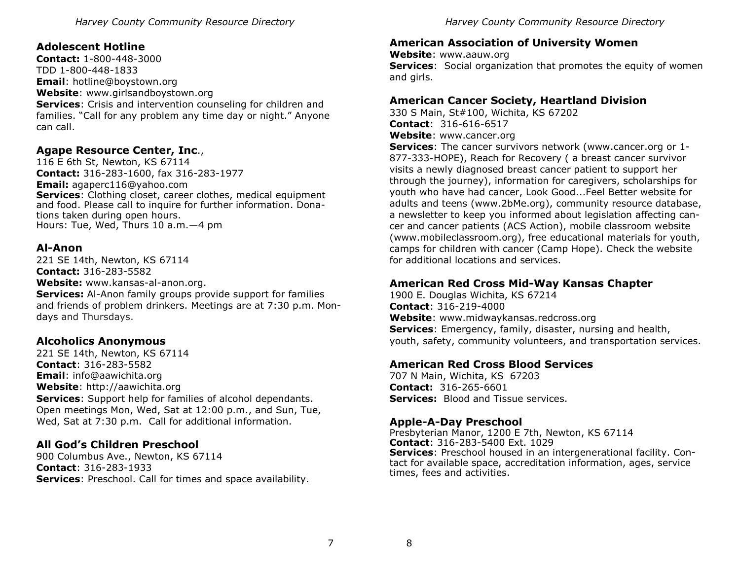# **Adolescent Hotline**

**Contact:** 1-800-448-3000 TDD 1-800-448-1833 **Email**: hotline@boystown.org **Website**: www.girlsandboystown.org **Services**: Crisis and intervention counseling for children and families. "Call for any problem any time day or night." Anyone can call.

# **Agape Resource Center, Inc**.,

116 E 6th St, Newton, KS 67114 **Contact:** 316-283-1600, fax 316-283-1977 **Email:** agaperc116@yahoo.com **Services:** Clothing closet, career clothes, medical equipment and food. Please call to inquire for further information. Donations taken during open hours. Hours: Tue, Wed, Thurs 10 a.m. - 4 pm

#### **Al-Anon**

221 SE 14th, Newton, KS 67114 **Contact:** 316-283-5582 **Website:** www.kansas-al-anon.org. **Services:** Al-Anon family groups provide support for families and friends of problem drinkers. Meetings are at 7:30 p.m. Mondays and Thursdays.

# **Alcoholics Anonymous**

221 SE 14th, Newton, KS 67114 **Contact**: 316-283-5582 **Email**: info@aawichita.org **Website**: http://aawichita.org **Services**: Support help for families of alcohol dependants. Open meetings Mon, Wed, Sat at 12:00 p.m., and Sun, Tue, Wed, Sat at 7:30 p.m. Call for additional information.

# **All God's Children Preschool**

900 Columbus Ave., Newton, KS 67114 **Contact**: 316-283-1933 **Services**: Preschool. Call for times and space availability.

# **American Association of University Women**

**Website**: www.aauw.org **Services**: Social organization that promotes the equity of women and girls.

# **American Cancer Society, Heartland Division**

330 S Main, St#100, Wichita, KS 67202 **Contact**: 316-616-6517 **Website**: www.cancer.org

**Services**: The cancer survivors network (www.cancer.org or 1- 877-333-HOPE), Reach for Recovery ( a breast cancer survivor visits a newly diagnosed breast cancer patient to support her through the journey), information for caregivers, scholarships for youth who have had cancer, Look Good...Feel Better website for adults and teens (www.2bMe.org), community resource database, a newsletter to keep you informed about legislation affecting cancer and cancer patients (ACS Action), mobile classroom website (www.mobileclassroom.org), free educational materials for youth, camps for children with cancer (Camp Hope). Check the website for additional locations and services.

# **American Red Cross Mid-Way Kansas Chapter**

1900 E. Douglas Wichita, KS 67214 **Contact**: 316-219-4000 **Website**: www.midwaykansas.redcross.org **Services**: Emergency, family, disaster, nursing and health, youth, safety, community volunteers, and transportation services.

# **American Red Cross Blood Services**

707 N Main, Wichita, KS 67203 **Contact:** 316-265-6601 **Services:** Blood and Tissue services.

# **Apple-A-Day Preschool**

Presbyterian Manor, 1200 E 7th, Newton, KS 67114 **Contact**: 316-283-5400 Ext. 1029 **Services**: Preschool housed in an intergenerational facility. Contact for available space, accreditation information, ages, service times, fees and activities.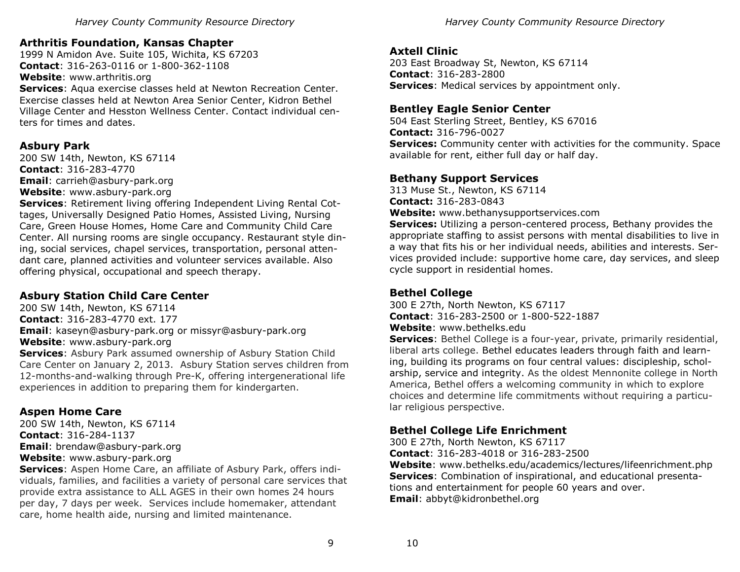# **Arthritis Foundation, Kansas Chapter**

1999 N Amidon Ave. Suite 105, Wichita, KS 67203 **Contact**: 316-263-0116 or 1-800-362-1108 **Website**: www.arthritis.org

**Services**: Aqua exercise classes held at Newton Recreation Center. Exercise classes held at Newton Area Senior Center, Kidron Bethel Village Center and Hesston Wellness Center. Contact individual centers for times and dates.

# **Asbury Park**

200 SW 14th, Newton, KS 67114 **Contact**: 316-283-4770 **Email**: carrieh@asbury-park.org **Website**: www.asbury-park.org

**Services**: Retirement living offering Independent Living Rental Cottages, Universally Designed Patio Homes, Assisted Living, Nursing Care, Green House Homes, Home Care and Community Child Care Center. All nursing rooms are single occupancy. Restaurant style dining, social services, chapel services, transportation, personal attendant care, planned activities and volunteer services available. Also offering physical, occupational and speech therapy.

# **Asbury Station Child Care Center**

200 SW 14th, Newton, KS 67114 **Contact**: 316-283-4770 ext. 177 **Email**: kaseyn@asbury-park.org or missyr@asbury-park.org **Website**: www.asbury-park.org

**Services**: Asbury Park assumed ownership of Asbury Station Child Care Center on January 2, 2013. Asbury Station serves children from 12-months-and-walking through Pre-K, offering intergenerational life experiences in addition to preparing them for kindergarten.

# **Aspen Home Care**

200 SW 14th, Newton, KS 67114 **Contact**: 316-284-1137 **Email**: brendaw@asbury-park.org **Website**: www.asbury-park.org

**Services**: Aspen Home Care, an affiliate of Asbury Park, offers individuals, families, and facilities a variety of personal care services that provide extra assistance to ALL AGES in their own homes 24 hours per day, 7 days per week. Services include homemaker, attendant care, home health aide, nursing and limited maintenance.

# **Axtell Clinic**

203 East Broadway St, Newton, KS 67114 **Contact**: 316-283-2800 **Services**: Medical services by appointment only.

# **Bentley Eagle Senior Center**

504 East Sterling Street, Bentley, KS 67016 **Contact:** 316-796-0027 **Services:** Community center with activities for the community. Space available for rent, either full day or half day.

# **Bethany Support Services**

313 Muse St., Newton, KS 67114 **Contact:** 316-283-0843

**Website:** www.bethanysupportservices.com

**Services:** Utilizing a person-centered process, Bethany provides the appropriate staffing to assist persons with mental disabilities to live in a way that fits his or her individual needs, abilities and interests. Services provided include: supportive home care, day services, and sleep cycle support in residential homes.

# **Bethel College**

300 E 27th, North Newton, KS 67117 **Contact**: 316-283-2500 or 1-800-522-1887 **Website**: www.bethelks.edu

**Services**: Bethel College is a four-year, private, primarily residential, liberal arts college. Bethel educates leaders through faith and learning, building its programs on four central values: discipleship, scholarship, service and integrity. As the oldest Mennonite college in North America, Bethel offers a welcoming community in which to explore choices and determine life commitments without requiring a particular religious perspective.

# **Bethel College Life Enrichment**

300 E 27th, North Newton, KS 67117 **Contact**: 316-283-4018 or 316-283-2500

**Website**: www.bethelks.edu/academics/lectures/lifeenrichment.php **Services**: Combination of inspirational, and educational presentations and entertainment for people 60 years and over. **Email**: abbyt@kidronbethel.org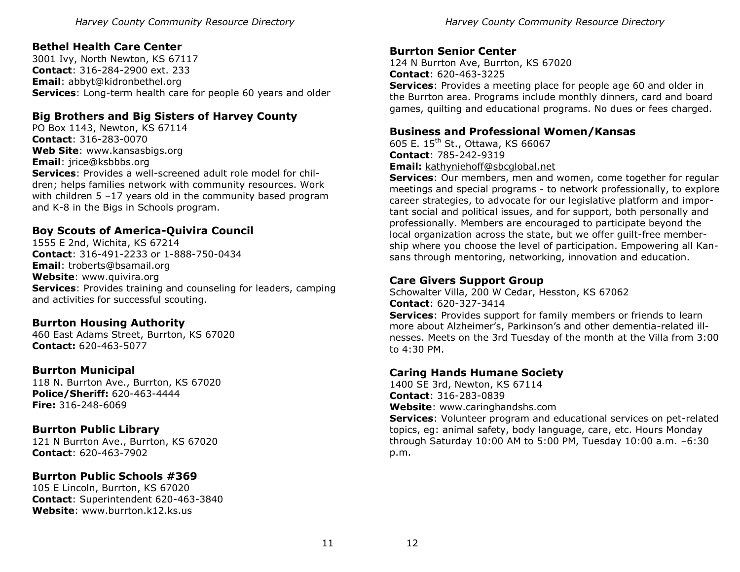# **Bethel Health Care Center**

3001 Ivy, North Newton, KS 67117 **Contact**: 316-284-2900 ext. 233 **Email**: abbyt@kidronbethel.org **Services**: Long-term health care for people 60 years and older

# **Big Brothers and Big Sisters of Harvey County**

PO Box 1143, Newton, KS 67114 **Contact**: 316-283-0070 **Web Site**: www.kansasbigs.org **Email**: jrice@ksbbbs.org **Services**: Provides a well-screened adult role model for children; helps families network with community resources. Work with children 5 -17 years old in the community based program and K-8 in the Bigs in Schools program.

# **Boy Scouts of America-Quivira Council**

1555 E 2nd, Wichita, KS 67214 **Contact**: 316-491-2233 or 1-888-750-0434 **Email**: troberts@bsamail.org **Website**: www.quivira.org **Services**: Provides training and counseling for leaders, camping and activities for successful scouting.

# **Burrton Housing Authority**

460 East Adams Street, Burrton, KS 67020 **Contact:** 620-463-5077

# **Burrton Municipal**

118 N. Burrton Ave., Burrton, KS 67020 **Police/Sheriff:** 620-463-4444 **Fire:** 316-248-6069

# **Burrton Public Library**

121 N Burrton Ave., Burrton, KS 67020 **Contact**: 620-463-7902

# **Burrton Public Schools #369**

105 E Lincoln, Burrton, KS 67020 **Contact**: Superintendent 620-463-3840 **Website**: www.burrton.k12.ks.us

# **Burrton Senior Center**

124 N Burrton Ave, Burrton, KS 67020 **Contact**: 620-463-3225 **Services**: Provides a meeting place for people age 60 and older in the Burrton area. Programs include monthly dinners, card and board games, quilting and educational programs. No dues or fees charged.

#### **Business and Professional Women/Kansas**

605 E. 15<sup>th</sup> St., Ottawa, KS 66067 **Contact**: 785-242-9319 **Email:** [kathyniehoff@sbcglobal.net](mailto:kathyniehoff@sbcglobal.net)

**Services**: Our members, men and women, come together for regular meetings and special programs - to network professionally, to explore career strategies, to advocate for our legislative platform and important social and political issues, and for support, both personally and professionally. Members are encouraged to participate beyond the local organization across the state, but we offer guilt-free membership where you choose the level of participation. Empowering all Kansans through mentoring, networking, innovation and education.

# **Care Givers Support Group**

Schowalter Villa, 200 W Cedar, Hesston, KS 67062 **Contact**: 620-327-3414

**Services**: Provides support for family members or friends to learn more about Alzheimer's, Parkinson's and other dementia-related illnesses. Meets on the 3rd Tuesday of the month at the Villa from 3:00 to 4:30 PM.

# **Caring Hands Humane Society**

1400 SE 3rd, Newton, KS 67114 **Contact**: 316-283-0839 **Website**: www.caringhandshs.com **Services**: Volunteer program and educational services on pet-related topics, eg: animal safety, body language, care, etc. Hours Monday through Saturday 10:00 AM to 5:00 PM, Tuesday 10:00 a.m. –6:30 p.m.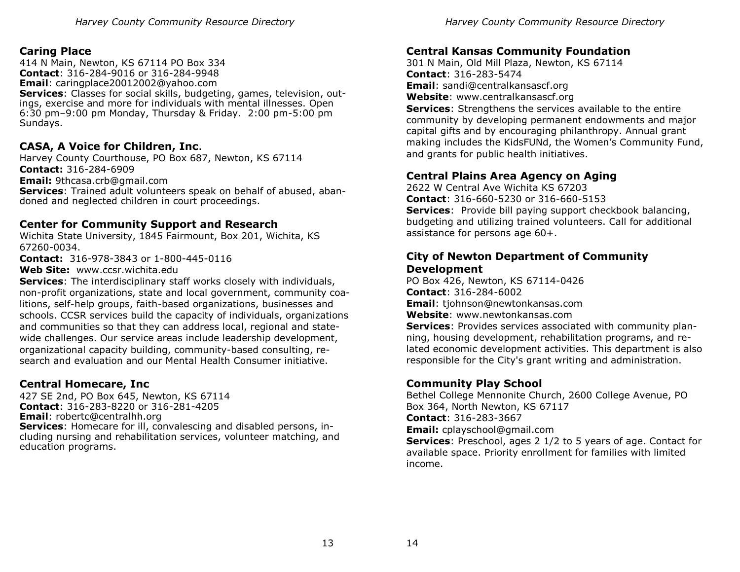#### **Caring Place**

414 N Main, Newton, KS 67114 PO Box 334 **Contact**: 316-284-9016 or 316-284-9948 **Email**: caringplace20012002@yahoo.com **Services:** Classes for social skills, budgeting, games, television, outings, exercise and more for individuals with mental illnesses. Open 6:30 pm–9:00 pm Monday, Thursday & Friday. 2:00 pm-5:00 pm Sundays.

#### **CASA, A Voice for Children, Inc**.

Harvey County Courthouse, PO Box 687, Newton, KS 67114 **Contact:** 316-284-6909 **Email:** 9thcasa.crb@gmail.com

**Services**: Trained adult volunteers speak on behalf of abused, abandoned and neglected children in court proceedings.

#### **Center for Community Support and Research**

Wichita State University, 1845 Fairmount, Box 201, Wichita, KS 67260-0034.

**Contact:** 316-978-3843 or 1-800-445-0116

**Web Site:** www.ccsr.wichita.edu

**Services**: The interdisciplinary staff works closely with individuals, non-profit organizations, state and local government, community coalitions, self-help groups, faith-based organizations, businesses and schools. CCSR services build the capacity of individuals, organizations and communities so that they can address local, regional and statewide challenges. Our service areas include leadership development, organizational capacity building, community-based consulting, research and evaluation and our Mental Health Consumer initiative.

#### **Central Homecare, Inc**

427 SE 2nd, PO Box 645, Newton, KS 67114 **Contact**: 316-283-8220 or 316-281-4205 **Email**: robertc@centralhh.org **Services**: Homecare for ill, convalescing and disabled persons, including nursing and rehabilitation services, volunteer matching, and education programs.

#### **Central Kansas Community Foundation**

301 N Main, Old Mill Plaza, Newton, KS 67114 **Contact**: 316-283-5474 **Email**: sandi@centralkansascf.org **Website**: www.centralkansascf.org

**Services**: Strengthens the services available to the entire community by developing permanent endowments and major capital gifts and by encouraging philanthropy. Annual grant making includes the KidsFUNd, the Women's Community Fund, and grants for public health initiatives.

# **Central Plains Area Agency on Aging**

2622 W Central Ave Wichita KS 67203 **Contact**: 316-660-5230 or 316-660-5153 **Services**: Provide bill paying support checkbook balancing, budgeting and utilizing trained volunteers. Call for additional assistance for persons age 60+.

#### **City of Newton Department of Community Development**

PO Box 426, Newton, KS 67114-0426 **Contact**: 316-284-6002 **Email**: tjohnson@newtonkansas.com **Website**: www.newtonkansas.com

**Services**: Provides services associated with community planning, housing development, rehabilitation programs, and related economic development activities. This department is also responsible for the City's grant writing and administration.

# **Community Play School**

Bethel College Mennonite Church, 2600 College Avenue, PO Box 364, North Newton, KS 67117 **Contact**: 316-283-3667 **Email:** cplayschool@gmail.com **Services**: Preschool, ages 2 1/2 to 5 years of age. Contact for available space. Priority enrollment for families with limited income.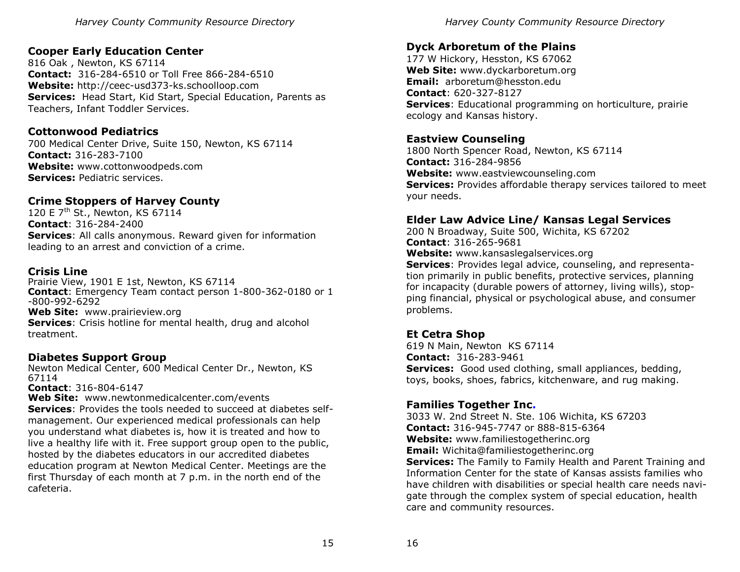# **Cooper Early Education Center**

816 Oak , Newton, KS 67114 **Contact:** 316-284-6510 or Toll Free 866-284-6510 **Website:** http://ceec-usd373-ks.schoolloop.com **Services:** Head Start, Kid Start, Special Education, Parents as Teachers, Infant Toddler Services.

# **Cottonwood Pediatrics**

700 Medical Center Drive, Suite 150, Newton, KS 67114 **Contact:** 316-283-7100 **Website:** www.cottonwoodpeds.com **Services:** Pediatric services.

# **Crime Stoppers of Harvey County**

120 E 7<sup>th</sup> St., Newton, KS 67114 **Contact**: 316-284-2400 **Services**: All calls anonymous. Reward given for information leading to an arrest and conviction of a crime.

#### **Crisis Line**

Prairie View, 1901 E 1st, Newton, KS 67114 **Contact**: Emergency Team contact person 1-800-362-0180 or 1 -800-992-6292 **Web Site:** www.prairieview.org **Services:** Crisis hotline for mental health, drug and alcohol treatment.

#### **Diabetes Support Group**

Newton Medical Center, 600 Medical Center Dr., Newton, KS 67114

**Contact**: 316-804-6147

**Web Site:** www.newtonmedicalcenter.com/events **Services**: Provides the tools needed to succeed at diabetes selfmanagement. Our experienced medical professionals can help you understand what diabetes is, how it is treated and how to live a healthy life with it. Free support group open to the public, hosted by the diabetes educators in our accredited diabetes education program at Newton Medical Center. Meetings are the first Thursday of each month at 7 p.m. in the north end of the cafeteria.

*Harvey County Community Resource Directory* 

# **Dyck Arboretum of the Plains**

177 W Hickory, Hesston, KS 67062 **Web Site:** www.dyckarboretum.org **Email:** arboretum@hesston.edu **Contact**: 620-327-8127 **Services**: Educational programming on horticulture, prairie ecology and Kansas history.

# **Eastview Counseling**

1800 North Spencer Road, Newton, KS 67114 **Contact:** 316-284-9856 **Website:** www.eastviewcounseling.com **Services:** Provides affordable therapy services tailored to meet your needs.

# **Elder Law Advice Line/ Kansas Legal Services**

200 N Broadway, Suite 500, Wichita, KS 67202 **Contact**: 316-265-9681 **Website:** www.kansaslegalservices.org **Services**: Provides legal advice, counseling, and representation primarily in public benefits, protective services, planning

for incapacity (durable powers of attorney, living wills), stopping financial, physical or psychological abuse, and consumer problems.

# **Et Cetra Shop**

619 N Main, Newton KS 67114 **Contact:** 316-283-9461 **Services:** Good used clothing, small appliances, bedding, toys, books, shoes, fabrics, kitchenware, and rug making.

# **Families Together Inc.**

3033 W. 2nd Street N. Ste. 106 Wichita, KS 67203 **Contact:** 316-945-7747 or 888-815-6364 **Website:** www.familiestogetherinc.org **Email:** Wichita@familiestogetherinc.org **Services:** The Family to Family Health and Parent Training and Information Center for the state of Kansas assists families who have children with disabilities or special health care needs navigate through the complex system of special education, health care and community resources.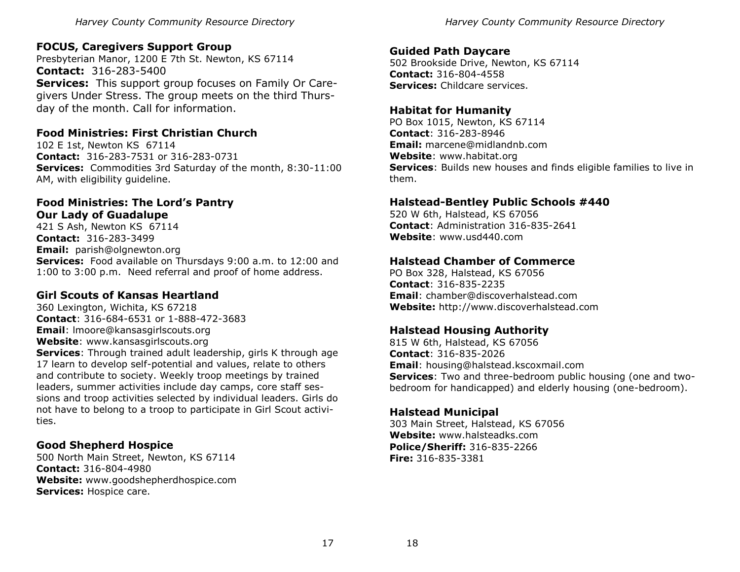# **FOCUS, Caregivers Support Group**

Presbyterian Manor, 1200 E 7th St. Newton, KS 67114 **Contact:** 316-283-5400 **Services:** This support group focuses on Family Or Caregivers Under Stress. The group meets on the third Thursday of the month. Call for information.

# **Food Ministries: First Christian Church**

102 E 1st, Newton KS 67114 **Contact:** 316-283-7531 or 316-283-0731 **Services:** Commodities 3rd Saturday of the month, 8:30-11:00 AM, with eligibility guideline.

#### **Food Ministries: The Lord's Pantry Our Lady of Guadalupe**

421 S Ash, Newton KS 67114 **Contact:** 316-283-3499 **Email:** parish@olgnewton.org **Services:** Food available on Thursdays 9:00 a.m. to 12:00 and 1:00 to 3:00 p.m. Need referral and proof of home address.

# **Girl Scouts of Kansas Heartland**

360 Lexington, Wichita, KS 67218 **Contact**: 316-684-6531 or 1-888-472-3683 **Email**: lmoore@kansasgirlscouts.org **Website**: www.kansasgirlscouts.org **Services**: Through trained adult leadership, girls K through age 17 learn to develop self-potential and values, relate to others and contribute to society. Weekly troop meetings by trained leaders, summer activities include day camps, core staff sessions and troop activities selected by individual leaders. Girls do not have to belong to a troop to participate in Girl Scout activities.

# **Good Shepherd Hospice**

500 North Main Street, Newton, KS 67114 **Contact:** 316-804-4980 **Website:** www.goodshepherdhospice.com **Services:** Hospice care.

#### **Guided Path Daycare**

502 Brookside Drive, Newton, KS 67114 **Contact:** 316-804-4558 **Services:** Childcare services.

# **Habitat for Humanity**

PO Box 1015, Newton, KS 67114 **Contact**: 316-283-8946 **Email:** marcene@midlandnb.com **Website**: www.habitat.org **Services**: Builds new houses and finds eligible families to live in them.

#### **Halstead-Bentley Public Schools #440**

520 W 6th, Halstead, KS 67056 **Contact**: Administration 316-835-2641 **Website**: www.usd440.com

# **Halstead Chamber of Commerce**

PO Box 328, Halstead, KS 67056 **Contact**: 316-835-2235 **Email**: chamber@discoverhalstead.com **Website:** http://www.discoverhalstead.com

# **Halstead Housing Authority**

815 W 6th, Halstead, KS 67056 **Contact**: 316-835-2026 **Email**: housing@halstead.kscoxmail.com **Services**: Two and three-bedroom public housing (one and twobedroom for handicapped) and elderly housing (one-bedroom).

#### **Halstead Municipal**

303 Main Street, Halstead, KS 67056 **Website:** www.halsteadks.com **Police/Sheriff:** 316-835-2266 **Fire:** 316-835-3381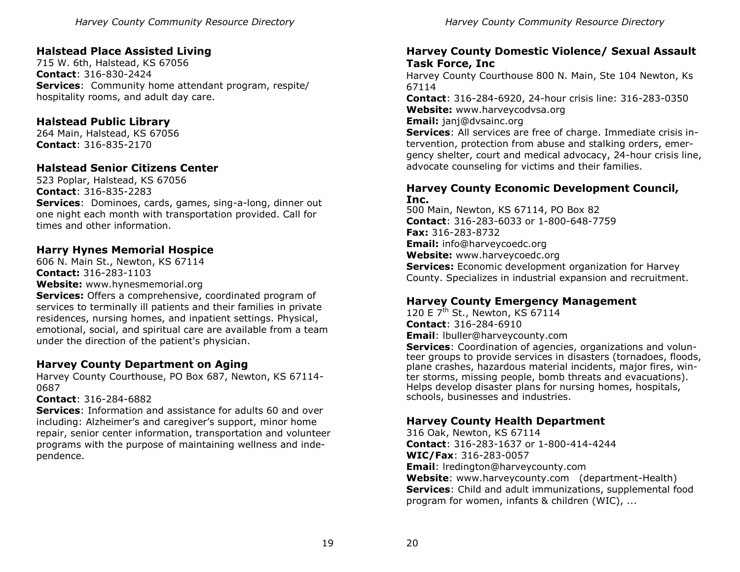# **Halstead Place Assisted Living**

715 W. 6th, Halstead, KS 67056 **Contact**: 316-830-2424 **Services**: Community home attendant program, respite/ hospitality rooms, and adult day care.

# **Halstead Public Library**

264 Main, Halstead, KS 67056 **Contact**: 316-835-2170

# **Halstead Senior Citizens Center**

523 Poplar, Halstead, KS 67056 **Contact**: 316-835-2283 **Services**: Dominoes, cards, games, sing-a-long, dinner out one night each month with transportation provided. Call for times and other information.

# **Harry Hynes Memorial Hospice**

606 N. Main St., Newton, KS 67114 **Contact:** 316-283-1103 **Website:** www.hynesmemorial.org

**Services:** Offers a comprehensive, coordinated program of services to terminally ill patients and their families in private residences, nursing homes, and inpatient settings. Physical, emotional, social, and spiritual care are available from a team under the direction of the patient's physician.

# **Harvey County Department on Aging**

Harvey County Courthouse, PO Box 687, Newton, KS 67114- 0687

#### **Contact**: 316-284-6882

**Services**: Information and assistance for adults 60 and over including: Alzheimer's and caregiver's support, minor home repair, senior center information, transportation and volunteer programs with the purpose of maintaining wellness and independence.

# **Harvey County Domestic Violence/ Sexual Assault Task Force, Inc**

Harvey County Courthouse 800 N. Main, Ste 104 Newton, Ks 67114

**Contact**: 316-284-6920, 24-hour crisis line: 316-283-0350 **Website:** www.harveycodvsa.org

**Email:** janj@dvsainc.org

**Services**: All services are free of charge. Immediate crisis intervention, protection from abuse and stalking orders, emergency shelter, court and medical advocacy, 24-hour crisis line, advocate counseling for victims and their families.

#### **Harvey County Economic Development Council, Inc.**

500 Main, Newton, KS 67114, PO Box 82 **Contact**: 316-283-6033 or 1-800-648-7759 **Fax:** 316-283-8732 **Email:** info@harveycoedc.org **Website:** www.harveycoedc.org **Services:** Economic development organization for Harvey County. Specializes in industrial expansion and recruitment.

# **Harvey County Emergency Management**

120 E 7<sup>th</sup> St., Newton, KS 67114 **Contact**: 316-284-6910 **Email**: lbuller@harveycounty.com

**Services**: Coordination of agencies, organizations and volunteer groups to provide services in disasters (tornadoes, floods, plane crashes, hazardous material incidents, major fires, winter storms, missing people, bomb threats and evacuations). Helps develop disaster plans for nursing homes, hospitals, schools, businesses and industries.

# **Harvey County Health Department**

316 Oak, Newton, KS 67114 **Contact**: 316-283-1637 or 1-800-414-4244 **WIC/Fax**: 316-283-0057 **Email**: lredington@harveycounty.com **Website**: www.harveycounty.com (department-Health) **Services**: Child and adult immunizations, supplemental food program for women, infants & children (WIC), ...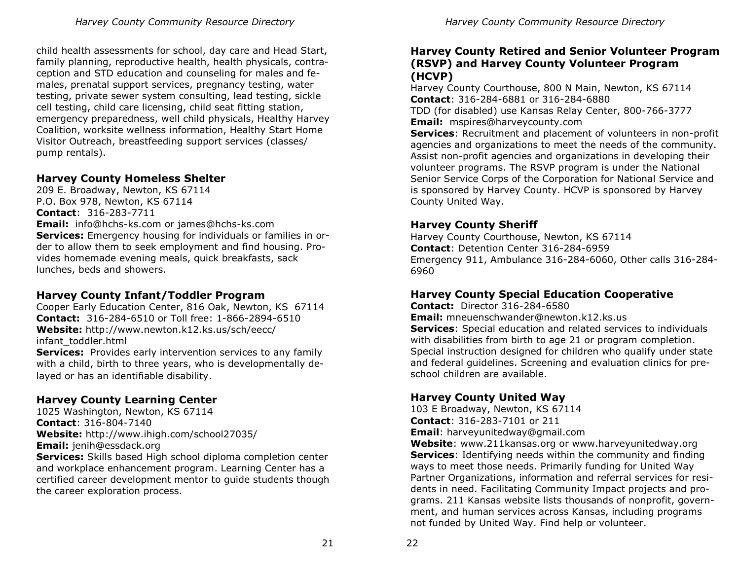child health assessments for school, day care and Head Start, family planning, reproductive health, health physicals, contraception and STD education and counseling for males and females, prenatal support services, pregnancy testing, water testing, private sewer system consulting, lead testing, sickle cell testing, child care licensing, child seat fitting station, emergency preparedness, well child physicals, Healthy Harvey Coalition, worksite wellness information, Healthy Start Home Visitor Outreach, breastfeeding support services (classes/ pump rentals).

# **Harvey County Homeless Shelter**

209 E. Broadway, Newton, KS 67114 P.O. Box 978, Newton, KS 67114 **Contact**: 316-283-7711 **Email:** info@hchs-ks.com or james@hchs-ks.com **Services:** Emergency housing for individuals or families in order to allow them to seek employment and find housing. Provides homemade evening meals, quick breakfasts, sack lunches, beds and showers.

# **Harvey County Infant/Toddler Program**

Cooper Early Education Center, 816 Oak, Newton, KS 67114 **Contact:** 316-284-6510 or Toll free: 1-866-2894-6510 **Website:** http://www.newton.k12.ks.us/sch/eecc/ infant\_toddler.html **Services:** Provides early intervention services to any family

with a child, birth to three years, who is developmentally delayed or has an identifiable disability.

# **Harvey County Learning Center**

1025 Washington, Newton, KS 67114 **Contact**: 316-804-7140 **Website:** http://www.ihigh.com/school27035/ **Email:** jenih@essdack.org **Services:** Skills based High school diploma completion center and workplace enhancement program. Learning Center has a certified career development mentor to guide students though the career exploration process.

# **Harvey County Retired and Senior Volunteer Program (RSVP) and Harvey County Volunteer Program (HCVP)**

Harvey County Courthouse, 800 N Main, Newton, KS 67114 **Contact**: 316-284-6881 or 316-284-6880 TDD (for disabled) use Kansas Relay Center, 800-766-3777 **Email:** mspires@harveycounty.com

**Services**: Recruitment and placement of volunteers in non-profit agencies and organizations to meet the needs of the community. Assist non-profit agencies and organizations in developing their volunteer programs. The RSVP program is under the National Senior Service Corps of the Corporation for National Service and is sponsored by Harvey County. HCVP is sponsored by Harvey County United Way.

# **Harvey County Sheriff**

Harvey County Courthouse, Newton, KS 67114 **Contact**: Detention Center 316-284-6959 Emergency 911, Ambulance 316-284-6060, Other calls 316-284- 6960

# **Harvey County Special Education Cooperative**

**Contact:** Director 316-284-6580

**Email:** mneuenschwander@newton.k12.ks.us **Services**: Special education and related services to individuals with disabilities from birth to age 21 or program completion. Special instruction designed for children who qualify under state and federal guidelines. Screening and evaluation clinics for preschool children are available.

# **Harvey County United Way**

103 E Broadway, Newton, KS 67114 **Contact**: 316-283-7101 or 211 **Email**: harveyunitedway@gmail.com

**Website**: www.211kansas.org or www.harveyunitedway.org **Services**: Identifying needs within the community and finding ways to meet those needs. Primarily funding for United Way Partner Organizations, information and referral services for residents in need. Facilitating Community Impact projects and programs. 211 Kansas website lists thousands of nonprofit, government, and human services across Kansas, including programs not funded by United Way. Find help or volunteer.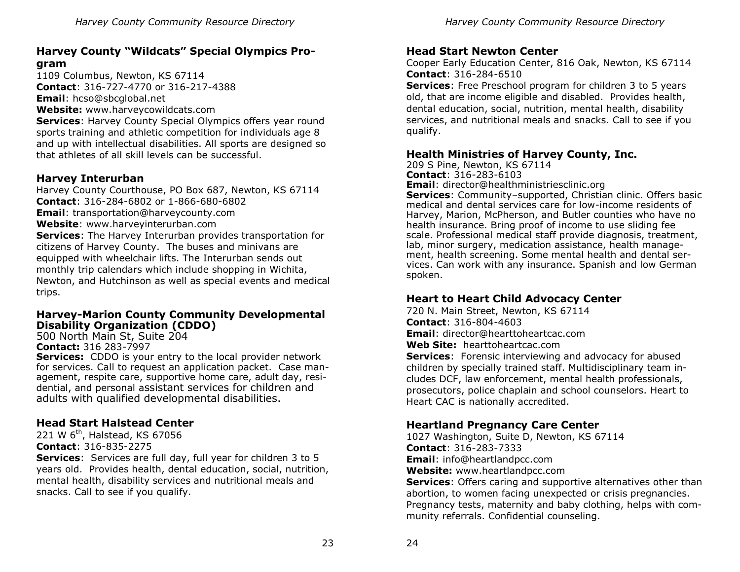# **Harvey County "Wildcats" Special Olympics Program**

1109 Columbus, Newton, KS 67114 **Contact**: 316-727-4770 or 316-217-4388 **Email**: hcso@sbcglobal.net **Website:** www.harveycowildcats.com

**Services**: Harvey County Special Olympics offers year round sports training and athletic competition for individuals age 8 and up with intellectual disabilities. All sports are designed so that athletes of all skill levels can be successful.

# **Harvey Interurban**

Harvey County Courthouse, PO Box 687, Newton, KS 67114 **Contact**: 316-284-6802 or 1-866-680-6802 **Email**: transportation@harveycounty.com **Website**: www.harveyinterurban.com **Services**: The Harvey Interurban provides transportation for citizens of Harvey County. The buses and minivans are equipped with wheelchair lifts. The Interurban sends out monthly trip calendars which include shopping in Wichita, Newton, and Hutchinson as well as special events and medical trips.

#### **Harvey-Marion County Community Developmental Disability Organization (CDDO)**

500 North Main St, Suite 204 **Contact:** 316 283-7997 **Services:** CDDO is your entry to the local provider network for services. Call to request an application packet. Case management, respite care, supportive home care, adult day, residential, and personal assistant services for children and

adults with qualified developmental disabilities.

# **Head Start Halstead Center**

221 W 6<sup>th</sup>, Halstead, KS 67056 **Contact**: 316-835-2275

**Services**:Services are full day, full year for children 3 to 5 years old. Provides health, dental education, social, nutrition, mental health, disability services and nutritional meals and snacks. Call to see if you qualify.

# **Head Start Newton Center**

Cooper Early Education Center, 816 Oak, Newton, KS 67114 **Contact**: 316-284-6510

**Services**: Free Preschool program for children 3 to 5 years old, that are income eligible and disabled. Provides health, dental education, social, nutrition, mental health, disability services, and nutritional meals and snacks. Call to see if you qualify.

#### **Health Ministries of Harvey County, Inc.**

209 S Pine, Newton, KS 67114 **Contact**: 316-283-6103

**Email**: director@healthministriesclinic.org

**Services**: Community–supported, Christian clinic. Offers basic medical and dental services care for low-income residents of Harvey, Marion, McPherson, and Butler counties who have no health insurance. Bring proof of income to use sliding fee scale. Professional medical staff provide diagnosis, treatment, lab, minor surgery, medication assistance, health management, health screening. Some mental health and dental services. Can work with any insurance. Spanish and low German spoken.

# **Heart to Heart Child Advocacy Center**

720 N. Main Street, Newton, KS 67114 **Contact**: 316-804-4603 **Email**: director@hearttoheartcac.com **Web Site:** hearttoheartcac.com

**Services**:Forensic interviewing and advocacy for abused children by specially trained staff. Multidisciplinary team includes DCF, law enforcement, mental health professionals, prosecutors, police chaplain and school counselors. Heart to Heart CAC is nationally accredited.

# **Heartland Pregnancy Care Center**

1027 Washington, Suite D, Newton, KS 67114 **Contact**: 316-283-7333 **Email**: info@heartlandpcc.com **Website:** www.heartlandpcc.com

**Services**: Offers caring and supportive alternatives other than abortion, to women facing unexpected or crisis pregnancies. Pregnancy tests, maternity and baby clothing, helps with community referrals. Confidential counseling.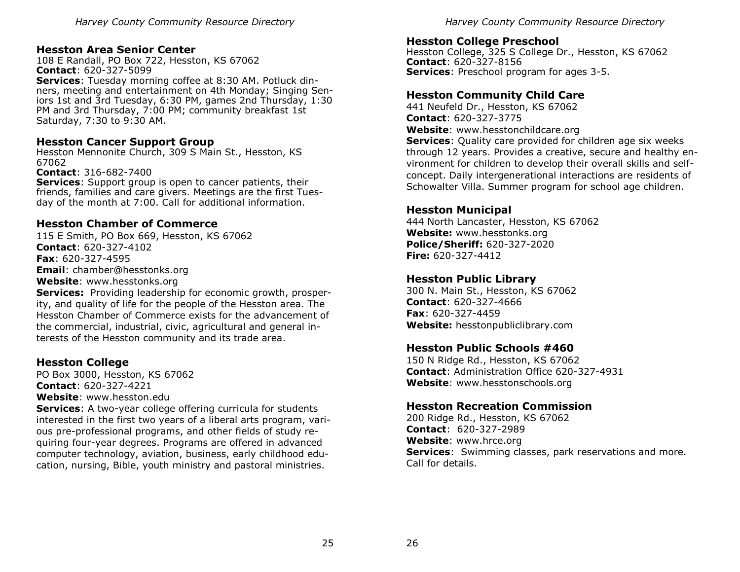#### **Hesston Area Senior Center**

108 E Randall, PO Box 722, Hesston, KS 67062 **Contact**: 620-327-5099 **Services**: Tuesday morning coffee at 8:30 AM. Potluck dinners, meeting and entertainment on 4th Monday; Singing Seniors 1st and 3rd Tuesday, 6:30 PM, games 2nd Thursday, 1:30 PM and 3rd Thursday, 7:00 PM; community breakfast 1st Saturday, 7:30 to 9:30 AM.

#### **Hesston Cancer Support Group**

Hesston Mennonite Church, 309 S Main St., Hesston, KS 67062

**Contact**: 316-682-7400

**Services**: Support group is open to cancer patients, their friends, families and care givers. Meetings are the first Tuesday of the month at 7:00. Call for additional information.

# **Hesston Chamber of Commerce**

115 E Smith, PO Box 669, Hesston, KS 67062 **Contact**: 620-327-4102 **Fax**: 620-327-4595 **Email**: chamber@hesstonks.org **Website**: www.hesstonks.org

**Services:** Providing leadership for economic growth, prosperity, and quality of life for the people of the Hesston area. The Hesston Chamber of Commerce exists for the advancement of the commercial, industrial, civic, agricultural and general interests of the Hesston community and its trade area.

# **Hesston College**

PO Box 3000, Hesston, KS 67062 **Contact**: 620-327-4221 **Website**: www.hesston.edu

**Services**: A two-year college offering curricula for students interested in the first two years of a liberal arts program, various pre-professional programs, and other fields of study requiring four-year degrees. Programs are offered in advanced computer technology, aviation, business, early childhood education, nursing, Bible, youth ministry and pastoral ministries.

*Harvey County Community Resource Directory* 

#### **Hesston College Preschool**

Hesston College, 325 S College Dr., Hesston, KS 67062 **Contact**: 620-327-8156 **Services**: Preschool program for ages 3-5.

#### **Hesston Community Child Care**

441 Neufeld Dr., Hesston, KS 67062 **Contact**: 620-327-3775 **Website**: www.hesstonchildcare.org **Services**: Quality care provided for children age six weeks through 12 years. Provides a creative, secure and healthy environment for children to develop their overall skills and selfconcept. Daily intergenerational interactions are residents of Schowalter Villa. Summer program for school age children.

#### **Hesston Municipal**

444 North Lancaster, Hesston, KS 67062 **Website:** www.hesstonks.org **Police/Sheriff:** 620-327-2020 **Fire:** 620-327-4412

# **Hesston Public Library**

300 N. Main St., Hesston, KS 67062 **Contact**: 620-327-4666 **Fax**: 620-327-4459 **Website:** hesstonpubliclibrary.com

# **Hesston Public Schools #460**

150 N Ridge Rd., Hesston, KS 67062 **Contact**: Administration Office 620-327-4931 **Website**: www.hesstonschools.org

#### **Hesston Recreation Commission**

200 Ridge Rd., Hesston, KS 67062 **Contact**: 620-327-2989 **Website**: www.hrce.org **Services**: Swimming classes, park reservations and more. Call for details.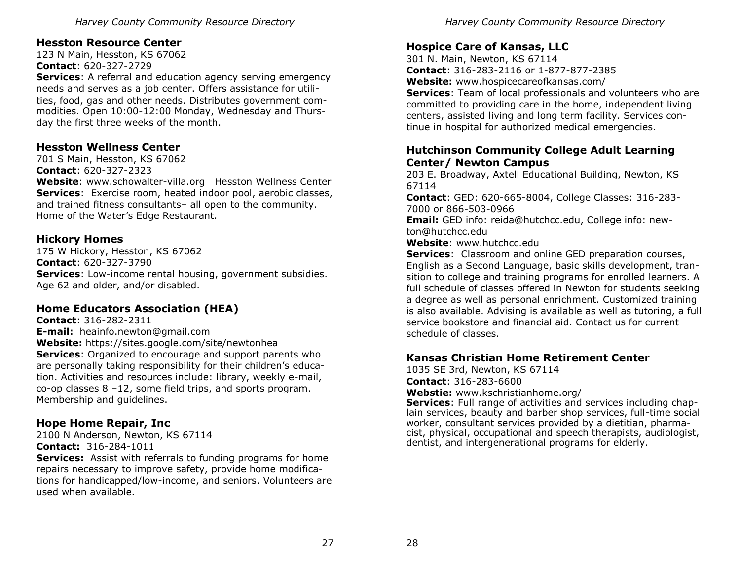# **Hesston Resource Center**

123 N Main, Hesston, KS 67062 **Contact**: 620-327-2729 **Services**: A referral and education agency serving emergency needs and serves as a job center. Offers assistance for utilities, food, gas and other needs. Distributes government commodities. Open 10:00-12:00 Monday, Wednesday and Thursday the first three weeks of the month.

# **Hesston Wellness Center**

701 S Main, Hesston, KS 67062 **Contact**: 620-327-2323

**Website**: www.schowalter-villa.org Hesston Wellness Center **Services**:Exercise room, heated indoor pool, aerobic classes, and trained fitness consultants– all open to the community. Home of the Water's Edge Restaurant.

# **Hickory Homes**

175 W Hickory, Hesston, KS 67062 **Contact**: 620-327-3790 **Services**: Low-income rental housing, government subsidies. Age 62 and older, and/or disabled.

# **Home Educators Association (HEA)**

**Contact**: 316-282-2311 **E-mail:** heainfo.newton@gmail.com **Website:** https://sites.google.com/site/newtonhea **Services**: Organized to encourage and support parents who are personally taking responsibility for their children's education. Activities and resources include: library, weekly e-mail, co-op classes 8 –12, some field trips, and sports program. Membership and guidelines.

# **Hope Home Repair, Inc**

2100 N Anderson, Newton, KS 67114 **Contact:** 316-284-1011

**Services:** Assist with referrals to funding programs for home repairs necessary to improve safety, provide home modifications for handicapped/low-income, and seniors. Volunteers are used when available.

*Harvey County Community Resource Directory* 

# **Hospice Care of Kansas, LLC**

301 N. Main, Newton, KS 67114 **Contact**: 316-283-2116 or 1-877-877-2385 **Website:** www.hospicecareofkansas.com/ **Services**: Team of local professionals and volunteers who are committed to providing care in the home, independent living centers, assisted living and long term facility. Services continue in hospital for authorized medical emergencies.

#### **Hutchinson Community College Adult Learning Center/ Newton Campus**

203 E. Broadway, Axtell Educational Building, Newton, KS 67114

**Contact**: GED: 620-665-8004, College Classes: 316-283- 7000 or 866-503-0966

**Email:** GED info: reida@hutchcc.edu, College info: newton@hutchcc.edu

**Website**: www.hutchcc.edu

**Services**: Classroom and online GED preparation courses, English as a Second Language, basic skills development, transition to college and training programs for enrolled learners. A full schedule of classes offered in Newton for students seeking a degree as well as personal enrichment. Customized training is also available. Advising is available as well as tutoring, a full service bookstore and financial aid. Contact us for current schedule of classes.

# **Kansas Christian Home Retirement Center**

1035 SE 3rd, Newton, KS 67114 **Contact**: 316-283-6600 **Webstie:** www.kschristianhome.org/

**Services**: Full range of activities and services including chaplain services, beauty and barber shop services, full-time social worker, consultant services provided by a dietitian, pharmacist, physical, occupational and speech therapists, audiologist, dentist, and intergenerational programs for elderly.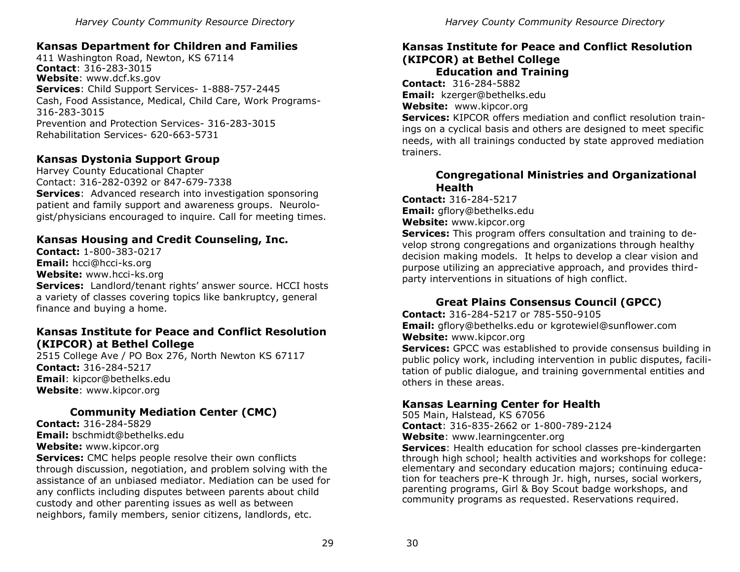# **Kansas Department for Children and Families**

411 Washington Road, Newton, KS 67114 **Contact**: 316-283-3015 **Website**: www.dcf.ks.gov **Services**: Child Support Services- 1-888-757-2445 Cash, Food Assistance, Medical, Child Care, Work Programs-316-283-3015 Prevention and Protection Services- 316-283-3015 Rehabilitation Services- 620-663-5731

# **Kansas Dystonia Support Group**

Harvey County Educational Chapter Contact: 316-282-0392 or 847-679-7338 **Services**:Advanced research into investigation sponsoring patient and family support and awareness groups. Neurologist/physicians encouraged to inquire. Call for meeting times.

# **Kansas Housing and Credit Counseling, Inc.**

**Contact:** 1-800-383-0217 **Email:** hcci@hcci-ks.org **Website:** www.hcci-ks.org **Services:** Landlord/tenant rights' answer source. HCCI hosts a variety of classes covering topics like bankruptcy, general finance and buying a home.

#### **Kansas Institute for Peace and Conflict Resolution (KIPCOR) at Bethel College**

2515 College Ave / PO Box 276, North Newton KS 67117 **Contact:** 316-284-5217 **Email**: kipcor@bethelks.edu **Website**: www.kipcor.org

# **Community Mediation Center (CMC)**

**Contact:** 316-284-5829 **Email:** bschmidt@bethelks.edu **Website:** www.kipcor.org

**Services:** CMC helps people resolve their own conflicts through discussion, negotiation, and problem solving with the assistance of an unbiased mediator. Mediation can be used for any conflicts including disputes between parents about child custody and other parenting issues as well as between neighbors, family members, senior citizens, landlords, etc.

# **Kansas Institute for Peace and Conflict Resolution (KIPCOR) at Bethel College**

**Education and Training**

**Contact:** 316-284-5882 **Email:** kzerger@bethelks.edu

**Website:** www.kipcor.org

**Services:** KIPCOR offers mediation and conflict resolution trainings on a cyclical basis and others are designed to meet specific needs, with all trainings conducted by state approved mediation trainers.

#### **Congregational Ministries and Organizational Health**

**Contact:** 316-284-5217 **Email:** gflory@bethelks.edu

**Website:** www.kipcor.org

**Services:** This program offers consultation and training to develop strong congregations and organizations through healthy decision making models. It helps to develop a clear vision and purpose utilizing an appreciative approach, and provides thirdparty interventions in situations of high conflict.

# **Great Plains Consensus Council (GPCC)**

**Contact:** 316-284-5217 or 785-550-9105 **Email:** gflory@bethelks.edu or kgrotewiel@sunflower.com **Website:** www.kipcor.org

**Services:** GPCC was established to provide consensus building in public policy work, including intervention in public disputes, facilitation of public dialogue, and training governmental entities and others in these areas.

# **Kansas Learning Center for Health**

505 Main, Halstead, KS 67056 **Contact**: 316-835-2662 or 1-800-789-2124 **Website**: www.learningcenter.org

**Services**: Health education for school classes pre-kindergarten through high school; health activities and workshops for college: elementary and secondary education majors; continuing education for teachers pre-K through Jr. high, nurses, social workers, parenting programs, Girl & Boy Scout badge workshops, and community programs as requested. Reservations required.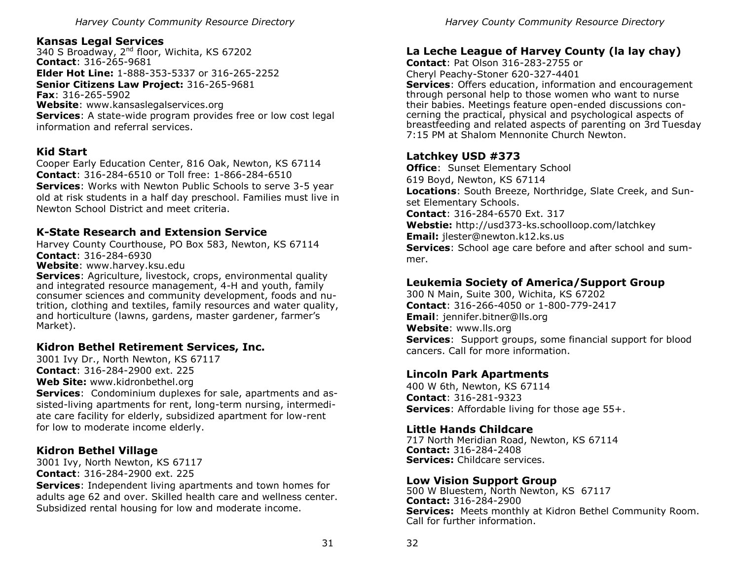# **Kansas Legal Services**

340 S Broadway, 2nd floor, Wichita, KS 67202 **Contact**: 316-265-9681 **Elder Hot Line:** 1-888-353-5337 or 316-265-2252 **Senior Citizens Law Project:** 316-265-9681

**Fax**: 316-265-5902 **Website**: www.kansaslegalservices.org **Services**: A state-wide program provides free or low cost legal information and referral services.

# **Kid Start**

Cooper Early Education Center, 816 Oak, Newton, KS 67114 **Contact**: 316-284-6510 or Toll free: 1-866-284-6510 **Services**: Works with Newton Public Schools to serve 3-5 year old at risk students in a half day preschool. Families must live in Newton School District and meet criteria.

# **K-State Research and Extension Service**

Harvey County Courthouse, PO Box 583, Newton, KS 67114 **Contact**: 316-284-6930

**Website**: www.harvey.ksu.edu

**Services**: Agriculture, livestock, crops, environmental quality and integrated resource management, 4-H and youth, family consumer sciences and community development, foods and nutrition, clothing and textiles, family resources and water quality, and horticulture (lawns, gardens, master gardener, farmer's Market).

# **Kidron Bethel Retirement Services, Inc.**

3001 Ivy Dr., North Newton, KS 67117 **Contact**: 316-284-2900 ext. 225 **Web Site:** www.kidronbethel.org **Services**: Condominium duplexes for sale, apartments and assisted-living apartments for rent, long-term nursing, intermediate care facility for elderly, subsidized apartment for low-rent for low to moderate income elderly.

# **Kidron Bethel Village**

3001 Ivy, North Newton, KS 67117 **Contact**: 316-284-2900 ext. 225

**Services**: Independent living apartments and town homes for adults age 62 and over. Skilled health care and wellness center. Subsidized rental housing for low and moderate income.

*Harvey County Community Resource Directory* 

# **La Leche League of Harvey County (la lay chay)**

**Contact**: Pat Olson 316-283-2755 or Cheryl Peachy-Stoner 620-327-4401

**Services**: Offers education, information and encouragement through personal help to those women who want to nurse their babies. Meetings feature open-ended discussions concerning the practical, physical and psychological aspects of breastfeeding and related aspects of parenting on 3rd Tuesday 7:15 PM at Shalom Mennonite Church Newton.

# **Latchkey USD #373**

**Office:** Sunset Elementary School 619 Boyd, Newton, KS 67114 **Locations**: South Breeze, Northridge, Slate Creek, and Sunset Elementary Schools. **Contact**: 316-284-6570 Ext. 317 **Webstie:** http://usd373-ks.schoolloop.com/latchkey **Email:** jlester@newton.k12.ks.us **Services**: School age care before and after school and summer.

# **Leukemia Society of America/Support Group**

300 N Main, Suite 300, Wichita, KS 67202 **Contact**: 316-266-4050 or 1-800-779-2417 **Email**: jennifer.bitner@lls.org **Website**: www.lls.org **Services**: Support groups, some financial support for blood cancers. Call for more information.

# **Lincoln Park Apartments**

400 W 6th, Newton, KS 67114 **Contact**: 316-281-9323 **Services**: Affordable living for those age 55+.

#### **Little Hands Childcare**

717 North Meridian Road, Newton, KS 67114 **Contact:** 316-284-2408 **Services:** Childcare services.

#### **Low Vision Support Group**

500 W Bluestem, North Newton, KS 67117 **Contact:** 316-284-2900 **Services:** Meets monthly at Kidron Bethel Community Room. Call for further information.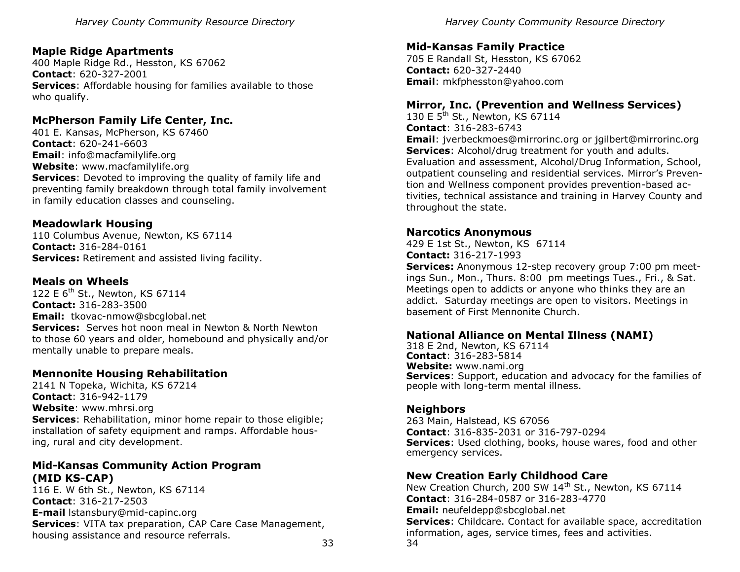# **Maple Ridge Apartments**

400 Maple Ridge Rd., Hesston, KS 67062 **Contact**: 620-327-2001 **Services**: Affordable housing for families available to those who qualify.

# **McPherson Family Life Center, Inc.**

401 E. Kansas, McPherson, KS 67460 **Contact**: 620-241-6603 **Email**: info@macfamilylife.org **Website**: www.macfamilylife.org **Services**: Devoted to improving the quality of family life and preventing family breakdown through total family involvement in family education classes and counseling.

#### **Meadowlark Housing**

110 Columbus Avenue, Newton, KS 67114 **Contact:** 316-284-0161 **Services:** Retirement and assisted living facility.

#### **Meals on Wheels**

122 E 6<sup>th</sup> St., Newton, KS 67114 **Contact:** 316-283-3500 **Email:** tkovac-nmow@sbcglobal.net **Services:** Serves hot noon meal in Newton & North Newton to those 60 years and older, homebound and physically and/or mentally unable to prepare meals.

# **Mennonite Housing Rehabilitation**

2141 N Topeka, Wichita, KS 67214 **Contact**: 316-942-1179 **Website**: www.mhrsi.org **Services**: Rehabilitation, minor home repair to those eligible; installation of safety equipment and ramps. Affordable housing, rural and city development.

# **Mid-Kansas Community Action Program (MID KS-CAP)**

33 116 E. W 6th St., Newton, KS 67114 **Contact**: 316-217-2503 **E-mail** lstansbury@mid-capinc.org **Services**: VITA tax preparation, CAP Care Case Management, housing assistance and resource referrals.

*Harvey County Community Resource Directory* 

# **Mid-Kansas Family Practice**

705 E Randall St, Hesston, KS 67062 **Contact:** 620-327-2440 **Email**: mkfphesston@yahoo.com

#### **Mirror, Inc. (Prevention and Wellness Services)**

130 E 5<sup>th</sup> St., Newton, KS 67114 **Contact**: 316-283-6743 **Email**: jverbeckmoes@mirrorinc.org or jgilbert@mirrorinc.org **Services**: Alcohol/drug treatment for youth and adults. Evaluation and assessment, Alcohol/Drug Information, School, outpatient counseling and residential services. Mirror's Prevention and Wellness component provides prevention-based activities, technical assistance and training in Harvey County and throughout the state.

#### **Narcotics Anonymous**

429 E 1st St., Newton, KS 67114 **Contact:** 316-217-1993

**Services:** Anonymous 12-step recovery group 7:00 pm meetings Sun., Mon., Thurs. 8:00 pm meetings Tues., Fri., & Sat. Meetings open to addicts or anyone who thinks they are an addict. Saturday meetings are open to visitors. Meetings in basement of First Mennonite Church.

#### **National Alliance on Mental Illness (NAMI)**

318 E 2nd, Newton, KS 67114 **Contact**: 316-283-5814 **Website:** www.nami.org **Services**: Support, education and advocacy for the families of people with long-term mental illness.

#### **Neighbors**

263 Main, Halstead, KS 67056 **Contact**: 316-835-2031 or 316-797-0294 **Services**: Used clothing, books, house wares, food and other emergency services.

# **New Creation Early Childhood Care**

34 New Creation Church, 200 SW 14<sup>th</sup> St., Newton, KS 67114 **Contact**: 316-284-0587 or 316-283-4770 **Email:** neufeldepp@sbcglobal.net **Services**: Childcare. Contact for available space, accreditation information, ages, service times, fees and activities.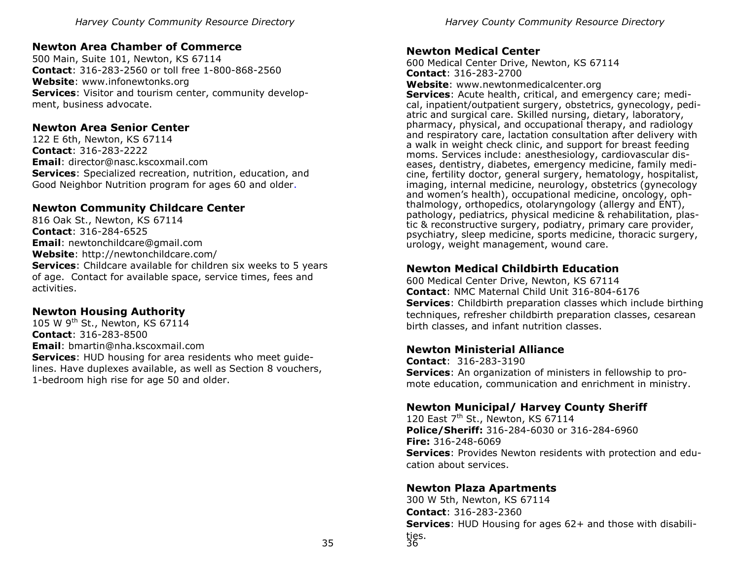# **Newton Area Chamber of Commerce**

500 Main, Suite 101, Newton, KS 67114 **Contact**: 316-283-2560 or toll free 1-800-868-2560 **Website**: www.infonewtonks.org **Services**: Visitor and tourism center, community development, business advocate.

# **Newton Area Senior Center**

122 E 6th, Newton, KS 67114 **Contact**: 316-283-2222 **Email**: director@nasc.kscoxmail.com **Services**: Specialized recreation, nutrition, education, and Good Neighbor Nutrition program for ages 60 and older.

# **Newton Community Childcare Center**

816 Oak St., Newton, KS 67114 **Contact**: 316-284-6525 **Email**: newtonchildcare@gmail.com **Website**: http://newtonchildcare.com/ **Services**: Childcare available for children six weeks to 5 years of age. Contact for available space, service times, fees and activities.

# **Newton Housing Authority**

105 W 9<sup>th</sup> St., Newton, KS 67114 **Contact**: 316-283-8500 **Email**: bmartin@nha.kscoxmail.com **Services**: HUD housing for area residents who meet guidelines. Have duplexes available, as well as Section 8 vouchers, 1-bedroom high rise for age 50 and older.

#### **Newton Medical Center**

600 Medical Center Drive, Newton, KS 67114 **Contact**: 316-283-2700

**Website**: www.newtonmedicalcenter.org

**Services**: Acute health, critical, and emergency care; medical, inpatient/outpatient surgery, obstetrics, gynecology, pediatric and surgical care. Skilled nursing, dietary, laboratory, pharmacy, physical, and occupational therapy, and radiology and respiratory care, lactation consultation after delivery with a walk in weight check clinic, and support for breast feeding moms. Services include: anesthesiology, cardiovascular diseases, dentistry, diabetes, emergency medicine, family medicine, fertility doctor, general surgery, hematology, hospitalist, imaging, internal medicine, neurology, obstetrics (gynecology and women's health), occupational medicine, oncology, ophthalmology, orthopedics, otolaryngology (allergy and ENT), pathology, pediatrics, physical medicine & rehabilitation, plastic & reconstructive surgery, podiatry, primary care provider, psychiatry, sleep medicine, sports medicine, thoracic surgery, urology, weight management, wound care.

# **Newton Medical Childbirth Education**

600 Medical Center Drive, Newton, KS 67114 **Contact**: NMC Maternal Child Unit 316-804-6176 **Services**: Childbirth preparation classes which include birthing techniques, refresher childbirth preparation classes, cesarean birth classes, and infant nutrition classes.

# **Newton Ministerial Alliance**

**Contact**: 316-283-3190 **Services**: An organization of ministers in fellowship to promote education, communication and enrichment in ministry.

# **Newton Municipal/ Harvey County Sheriff**

120 East  $7<sup>th</sup>$  St., Newton, KS 67114 **Police/Sheriff:** 316-284-6030 or 316-284-6960 **Fire:** 316-248-6069 **Services**: Provides Newton residents with protection and education about services.

# **Newton Plaza Apartments**

36 300 W 5th, Newton, KS 67114 **Contact**: 316-283-2360 **Services**: HUD Housing for ages 62+ and those with disabilities.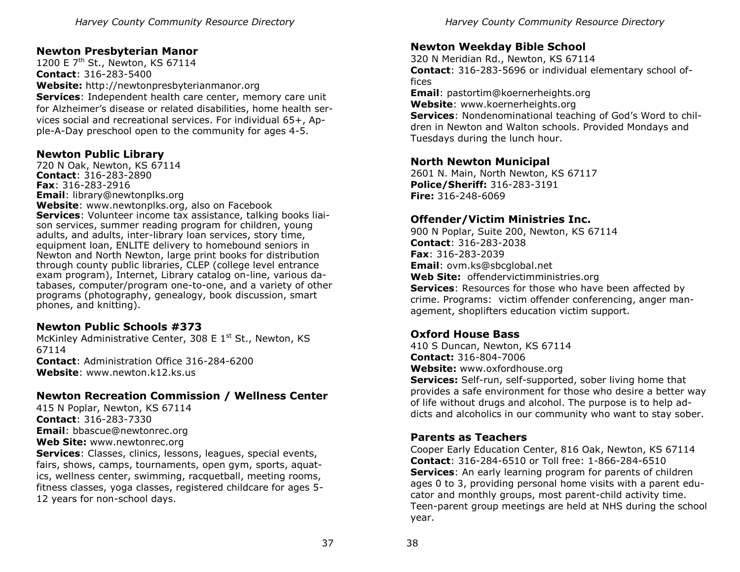# **Newton Presbyterian Manor**

1200 E 7<sup>th</sup> St., Newton, KS 67114 **Contact**: 316-283-5400 **Website:** http://newtonpresbyterianmanor.org **Services**: Independent health care center, memory care unit for Alzheimer's disease or related disabilities, home health services social and recreational services. For individual 65+, Apple-A-Day preschool open to the community for ages 4-5.

#### **Newton Public Library**

720 N Oak, Newton, KS 67114 **Contact**: 316-283-2890 **Fax**: 316-283-2916 **Email**: library@newtonplks.org **Website**: www.newtonplks.org, also on Facebook **Services**: Volunteer income tax assistance, talking books liaison services, summer reading program for children, young adults, and adults, inter-library loan services, story time, equipment loan, ENLITE delivery to homebound seniors in Newton and North Newton, large print books for distribution through county public libraries, CLEP (college level entrance exam program), Internet, Library catalog on-line, various databases, computer/program one-to-one, and a variety of other programs (photography, genealogy, book discussion, smart phones, and knitting).

#### **Newton Public Schools #373**

McKinley Administrative Center, 308 E  $1<sup>st</sup>$  St., Newton, KS 67114 **Contact**: Administration Office 316-284-6200 **Website**: www.newton.k12.ks.us

# **Newton Recreation Commission / Wellness Center**

415 N Poplar, Newton, KS 67114 **Contact**: 316-283-7330 **Email**: bbascue@newtonrec.org **Web Site:** www.newtonrec.org **Services**: Classes, clinics, lessons, leagues, special events, fairs, shows, camps, tournaments, open gym, sports, aquatics, wellness center, swimming, racquetball, meeting rooms, fitness classes, yoga classes, registered childcare for ages 5-

12 years for non-school days.

# **Newton Weekday Bible School**

320 N Meridian Rd., Newton, KS 67114 **Contact**: 316-283-5696 or individual elementary school offices

**Email**: pastortim@koernerheights.org

**Website**: www.koernerheights.org

**Services**: Nondenominational teaching of God's Word to children in Newton and Walton schools. Provided Mondays and Tuesdays during the lunch hour.

#### **North Newton Municipal**

2601 N. Main, North Newton, KS 67117 **Police/Sheriff:** 316-283-3191 **Fire:** 316-248-6069

# **Offender/Victim Ministries Inc.**

900 N Poplar, Suite 200, Newton, KS 67114 **Contact**: 316-283-2038 **Fax**: 316-283-2039 **Email**: ovm.ks@sbcglobal.net **Web Site:** offendervictimministries.org **Services**: Resources for those who have been affected by crime. Programs: victim offender conferencing, anger management, shoplifters education victim support.

# **Oxford House Bass**

410 S Duncan, Newton, KS 67114 **Contact:** 316-804-7006

**Website:** www.oxfordhouse.org

**Services:** Self-run, self-supported, sober living home that provides a safe environment for those who desire a better way of life without drugs and alcohol. The purpose is to help addicts and alcoholics in our community who want to stay sober.

# **Parents as Teachers**

Cooper Early Education Center, 816 Oak, Newton, KS 67114 **Contact**: 316-284-6510 or Toll free: 1-866-284-6510 **Services**: An early learning program for parents of children ages 0 to 3, providing personal home visits with a parent educator and monthly groups, most parent-child activity time. Teen-parent group meetings are held at NHS during the school year.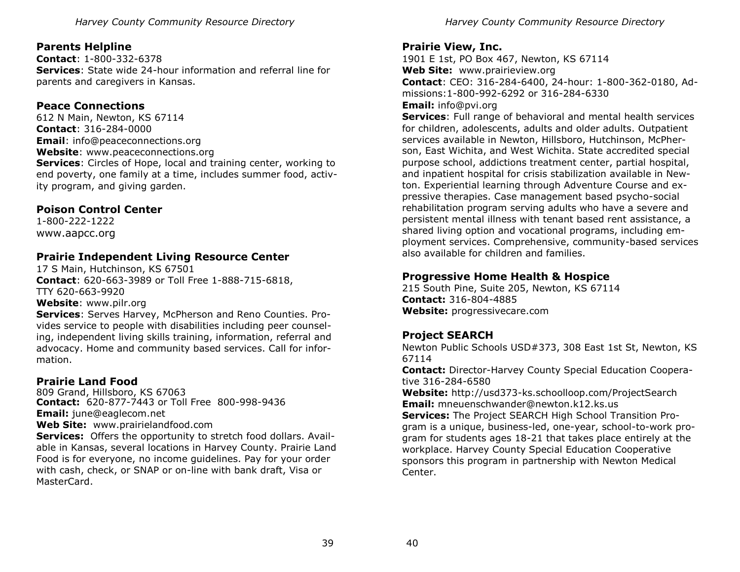# **Parents Helpline**

**Contact**: 1-800-332-6378 **Services**: State wide 24-hour information and referral line for parents and caregivers in Kansas.

# **Peace Connections**

612 N Main, Newton, KS 67114 **Contact**: 316-284-0000 **Email**: info@peaceconnections.org **Website**: www.peaceconnections.org **Services**: Circles of Hope, local and training center, working to end poverty, one family at a time, includes summer food, activity program, and giving garden.

# **Poison Control Center**

1-800-222-1222 www.aapcc.org

# **Prairie Independent Living Resource Center**

17 S Main, Hutchinson, KS 67501 **Contact**: 620-663-3989 or Toll Free 1-888-715-6818, TTY 620-663-9920 **Website**: www.pilr.org

**Services**: Serves Harvey, McPherson and Reno Counties. Provides service to people with disabilities including peer counseling, independent living skills training, information, referral and advocacy. Home and community based services. Call for information.

# **Prairie Land Food**

809 Grand, Hillsboro, KS 67063 **Contact:** 620-877-7443 or Toll Free 800-998-9436 **Email:** june@eaglecom.net **Web Site:** www.prairielandfood.com

**Services:** Offers the opportunity to stretch food dollars. Available in Kansas, several locations in Harvey County. Prairie Land Food is for everyone, no income guidelines. Pay for your order with cash, check, or SNAP or on-line with bank draft, Visa or MasterCard.

# **Prairie View, Inc.**

1901 E 1st, PO Box 467, Newton, KS 67114 **Web Site:** www.prairieview.org **Contact**: CEO: 316-284-6400, 24-hour: 1-800-362-0180, Admissions:1-800-992-6292 or 316-284-6330

#### **Email:** info@pvi.org

**Services**: Full range of behavioral and mental health services for children, adolescents, adults and older adults. Outpatient services available in Newton, Hillsboro, Hutchinson, McPherson, East Wichita, and West Wichita. State accredited special purpose school, addictions treatment center, partial hospital, and inpatient hospital for crisis stabilization available in Newton. Experiential learning through Adventure Course and expressive therapies. Case management based psycho-social rehabilitation program serving adults who have a severe and persistent mental illness with tenant based rent assistance, a shared living option and vocational programs, including employment services. Comprehensive, community-based services also available for children and families.

# **Progressive Home Health & Hospice**

215 South Pine, Suite 205, Newton, KS 67114 **Contact:** 316-804-4885 **Website:** progressivecare.com

# **Project SEARCH**

Newton Public Schools USD#373, 308 East 1st St, Newton, KS 67114

**Contact:** Director-Harvey County Special Education Cooperative 316-284-6580

**Website:** http://usd373-ks.schoolloop.com/ProjectSearch **Email:** mneuenschwander@newton.k12.ks.us

**Services:** The Project SEARCH High School Transition Program is a unique, business-led, one-year, school-to-work program for students ages 18-21 that takes place entirely at the workplace. Harvey County Special Education Cooperative sponsors this program in partnership with Newton Medical Center.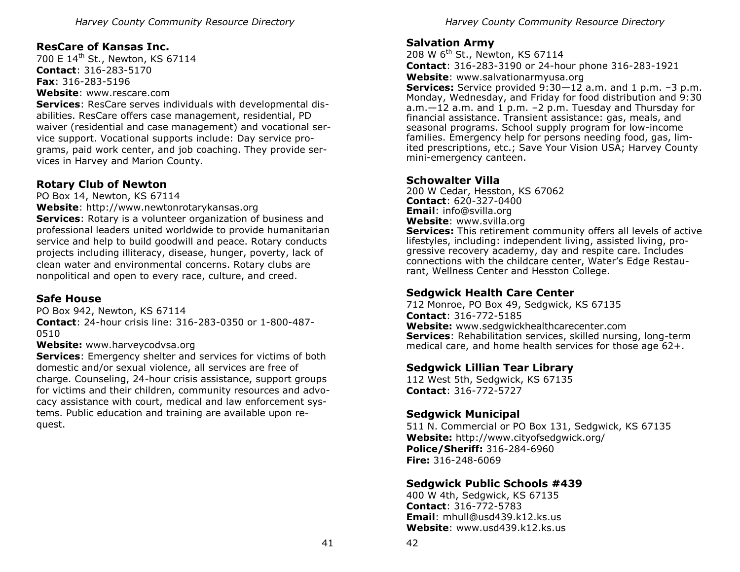# **ResCare of Kansas Inc.**

700 E 14<sup>th</sup> St., Newton, KS 67114 **Contact**: 316-283-5170 **Fax**: 316-283-5196 **Website**: www.rescare.com

**Services**: ResCare serves individuals with developmental disabilities. ResCare offers case management, residential, PD waiver (residential and case management) and vocational service support. Vocational supports include: Day service programs, paid work center, and job coaching. They provide services in Harvey and Marion County.

# **Rotary Club of Newton**

PO Box 14, Newton, KS 67114

**Website**: http://www.newtonrotarykansas.org

**Services**: Rotary is a volunteer organization of business and professional leaders united worldwide to provide humanitarian service and help to build goodwill and peace. Rotary conducts projects including illiteracy, disease, hunger, poverty, lack of clean water and environmental concerns. Rotary clubs are nonpolitical and open to every race, culture, and creed.

# **Safe House**

PO Box 942, Newton, KS 67114 **Contact**: 24-hour crisis line: 316-283-0350 or 1-800-487- 0510

# **Website:** www.harveycodvsa.org

**Services**: Emergency shelter and services for victims of both domestic and/or sexual violence, all services are free of charge. Counseling, 24-hour crisis assistance, support groups for victims and their children, community resources and advocacy assistance with court, medical and law enforcement systems. Public education and training are available upon request.

# **Salvation Army**

208 W 6<sup>th</sup> St., Newton, KS 67114 **Contact**: 316-283-3190 or 24-hour phone 316-283-1921

**Website**: www.salvationarmyusa.org

**Services:** Service provided 9:30–12 a.m. and 1 p.m. -3 p.m. Monday, Wednesday, and Friday for food distribution and 9:30 a.m. $-12$  a.m. and 1 p.m.  $-2$  p.m. Tuesday and Thursday for financial assistance. Transient assistance: gas, meals, and seasonal programs. School supply program for low-income families. Emergency help for persons needing food, gas, limited prescriptions, etc.; Save Your Vision USA; Harvey County mini-emergency canteen.

# **Schowalter Villa**

200 W Cedar, Hesston, KS 67062 **Contact**: 620-327-0400 **Email**: info@svilla.org **Website**: www.svilla.org

**Services:** This retirement community offers all levels of active lifestyles, including: independent living, assisted living, progressive recovery academy, day and respite care. Includes connections with the childcare center, Water's Edge Restaurant, Wellness Center and Hesston College.

# **Sedgwick Health Care Center**

712 Monroe, PO Box 49, Sedgwick, KS 67135 **Contact**: 316-772-5185 **Website:** www.sedgwickhealthcarecenter.com **Services**: Rehabilitation services, skilled nursing, long-term medical care, and home health services for those age 62+.

# **Sedgwick Lillian Tear Library**

112 West 5th, Sedgwick, KS 67135 **Contact**: 316-772-5727

# **Sedgwick Municipal**

511 N. Commercial or PO Box 131, Sedgwick, KS 67135 **Website:** http://www.cityofsedgwick.org/ **Police/Sheriff:** 316-284-6960 **Fire:** 316-248-6069

# **Sedgwick Public Schools #439**

400 W 4th, Sedgwick, KS 67135 **Contact**: 316-772-5783 **Email**: mhull@usd439.k12.ks.us **Website**: www.usd439.k12.ks.us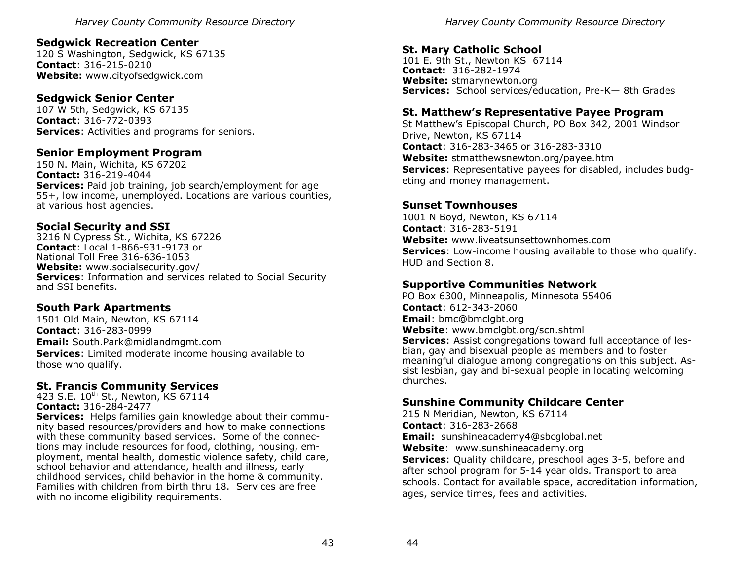#### **Sedgwick Recreation Center**

120 S Washington, Sedgwick, KS 67135 **Contact**: 316-215-0210 **Website:** www.cityofsedgwick.com

#### **Sedgwick Senior Center**

107 W 5th, Sedgwick, KS 67135 **Contact**: 316-772-0393 **Services**: Activities and programs for seniors.

#### **Senior Employment Program**

150 N. Main, Wichita, KS 67202 **Contact:** 316-219-4044 **Services:** Paid job training, job search/employment for age 55+, low income, unemployed. Locations are various counties, at various host agencies.

#### **Social Security and SSI**

3216 N Cypress St., Wichita, KS 67226 **Contact**: Local 1-866-931-9173 or National Toll Free 316-636-1053 **Website:** www.socialsecurity.gov/ **Services**: Information and services related to Social Security and SSI benefits.

# **South Park Apartments**

1501 Old Main, Newton, KS 67114 **Contact**: 316-283-0999 **Email:** South.Park@midlandmgmt.com **Services**: Limited moderate income housing available to those who qualify.

# **St. Francis Community Services**

423 S.E. 10<sup>th</sup> St., Newton, KS 67114 **Contact:** 316-284-2477 **Services:** Helps families gain knowledge about their community based resources/providers and how to make connections with these community based services. Some of the connections may include resources for food, clothing, housing, employment, mental health, domestic violence safety, child care, school behavior and attendance, health and illness, early childhood services, child behavior in the home & community. Families with children from birth thru 18. Services are free with no income eligibility requirements.

*Harvey County Community Resource Directory* 

# **St. Mary Catholic School**

101 E. 9th St., Newton KS 67114 **Contact:** 316-282-1974 **Website:** stmarynewton.org **Services:** School services/education, Pre-K— 8th Grades

#### **St. Matthew's Representative Payee Program**

St Matthew's Episcopal Church, PO Box 342, 2001 Windsor Drive, Newton, KS 67114 **Contact**: 316-283-3465 or 316-283-3310 **Website:** stmatthewsnewton.org/payee.htm **Services**: Representative payees for disabled, includes budgeting and money management.

#### **Sunset Townhouses**

1001 N Boyd, Newton, KS 67114 **Contact**: 316-283-5191 **Website:** www.liveatsunsettownhomes.com **Services**: Low-income housing available to those who qualify. HUD and Section 8.

# **Supportive Communities Network**

PO Box 6300, Minneapolis, Minnesota 55406 **Contact**: 612-343-2060 **Email**: bmc@bmclgbt.org **Website**: www.bmclgbt.org/scn.shtml **Services**: Assist congregations toward full acceptance of lesbian, gay and bisexual people as members and to foster meaningful dialogue among congregations on this subject. Assist lesbian, gay and bi-sexual people in locating welcoming churches.

# **Sunshine Community Childcare Center**

215 N Meridian, Newton, KS 67114 **Contact**: 316-283-2668 **Email:** sunshineacademy4@sbcglobal.net **Website**: www.sunshineacademy.org **Services**: Quality childcare, preschool ages 3-5, before and after school program for 5-14 year olds. Transport to area schools. Contact for available space, accreditation information, ages, service times, fees and activities.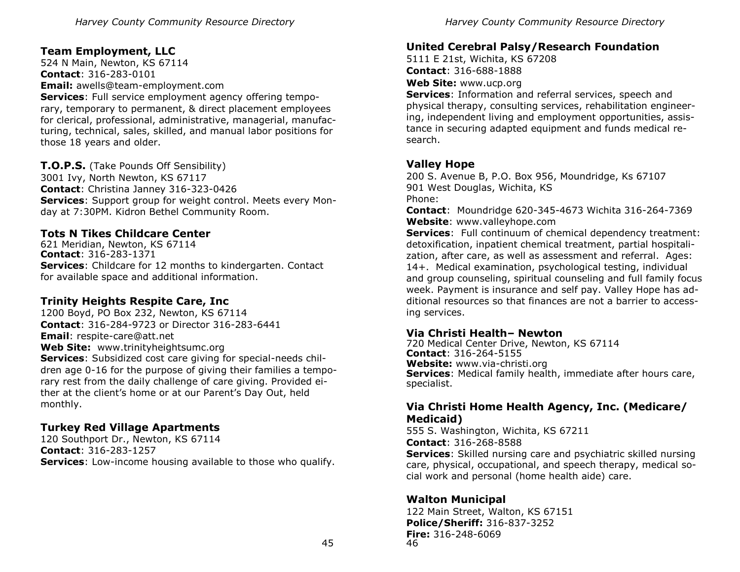# **Team Employment, LLC**

524 N Main, Newton, KS 67114 **Contact**: 316-283-0101 **Email:** awells@team-employment.com

**Services**: Full service employment agency offering temporary, temporary to permanent, & direct placement employees for clerical, professional, administrative, managerial, manufacturing, technical, sales, skilled, and manual labor positions for those 18 years and older.

**T.O.P.S.** (Take Pounds Off Sensibility) 3001 Ivy, North Newton, KS 67117 **Contact**: Christina Janney 316-323-0426 **Services**: Support group for weight control. Meets every Monday at 7:30PM. Kidron Bethel Community Room.

#### **Tots N Tikes Childcare Center**

621 Meridian, Newton, KS 67114 **Contact**: 316-283-1371 **Services**: Childcare for 12 months to kindergarten. Contact for available space and additional information.

#### **Trinity Heights Respite Care, Inc**

1200 Boyd, PO Box 232, Newton, KS 67114 **Contact**: 316-284-9723 or Director 316-283-6441 **Email**: respite-care@att.net **Web Site:** www.trinityheightsumc.org **Services**: Subsidized cost care giving for special-needs children age 0-16 for the purpose of giving their families a temporary rest from the daily challenge of care giving. Provided either at the client's home or at our Parent's Day Out, held monthly.

# **Turkey Red Village Apartments**

120 Southport Dr., Newton, KS 67114 **Contact**: 316-283-1257 **Services**: Low-income housing available to those who qualify.

#### **United Cerebral Palsy/Research Foundation**

5111 E 21st, Wichita, KS 67208 **Contact**: 316-688-1888

**Web Site:** www.ucp.org

**Services**: Information and referral services, speech and physical therapy, consulting services, rehabilitation engineering, independent living and employment opportunities, assistance in securing adapted equipment and funds medical research.

#### **Valley Hope**

200 S. Avenue B, P.O. Box 956, Moundridge, Ks 67107 901 West Douglas, Wichita, KS Phone:

**Contact**: Moundridge 620-345-4673 Wichita 316-264-7369 **Website**: www.valleyhope.com

**Services**: Full continuum of chemical dependency treatment: detoxification, inpatient chemical treatment, partial hospitalization, after care, as well as assessment and referral. Ages: 14+. Medical examination, psychological testing, individual and group counseling, spiritual counseling and full family focus week. Payment is insurance and self pay. Valley Hope has additional resources so that finances are not a barrier to accessing services.

# **Via Christi Health– Newton**

720 Medical Center Drive, Newton, KS 67114 **Contact**: 316-264-5155 **Website:** www.via-christi.org **Services**: Medical family health, immediate after hours care, specialist.

#### **Via Christi Home Health Agency, Inc. (Medicare/ Medicaid)**

555 S. Washington, Wichita, KS 67211 **Contact**: 316-268-8588

**Services**: Skilled nursing care and psychiatric skilled nursing care, physical, occupational, and speech therapy, medical social work and personal (home health aide) care.

# **Walton Municipal**

46 122 Main Street, Walton, KS 67151 **Police/Sheriff:** 316-837-3252 **Fire:** 316-248-6069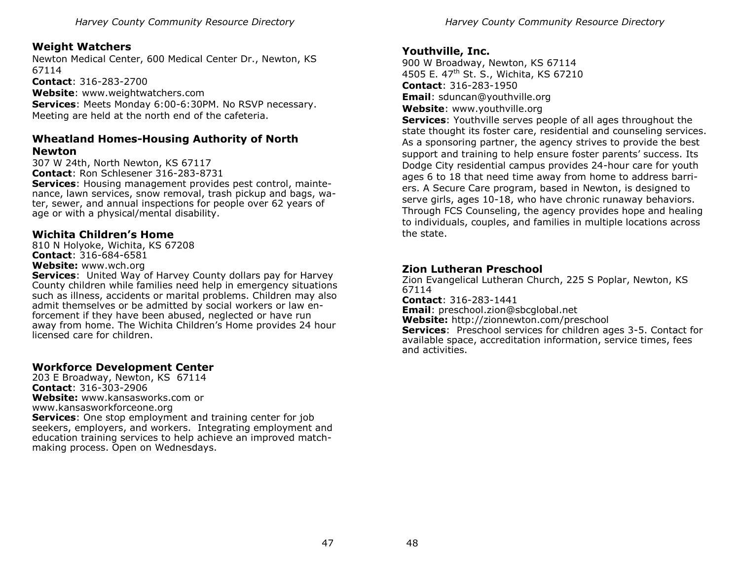# **Weight Watchers**

Newton Medical Center, 600 Medical Center Dr., Newton, KS 67114

**Contact**: 316-283-2700 **Website**: www.weightwatchers.com **Services**: Meets Monday 6:00-6:30PM. No RSVP necessary. Meeting are held at the north end of the cafeteria.

# **Wheatland Homes-Housing Authority of North Newton**

307 W 24th, North Newton, KS 67117 **Contact**: Ron Schlesener 316-283-8731 **Services**: Housing management provides pest control, maintenance, lawn services, snow removal, trash pickup and bags, water, sewer, and annual inspections for people over 62 years of age or with a physical/mental disability.

#### **Wichita Children's Home**

810 N Holyoke, Wichita, KS 67208 **Contact**: 316-684-6581 **Website:** www.wch.org

**Services**:United Way of Harvey County dollars pay for Harvey County children while families need help in emergency situations such as illness, accidents or marital problems. Children may also admit themselves or be admitted by social workers or law enforcement if they have been abused, neglected or have run away from home. The Wichita Children's Home provides 24 hour licensed care for children.

# **Workforce Development Center**

203 E Broadway, Newton, KS 67114 **Contact**: 316-303-2906 **Website:** www.kansasworks.com or www.kansasworkforceone.org **Services**: One stop employment and training center for job seekers, employers, and workers. Integrating employment and education training services to help achieve an improved matchmaking process. Open on Wednesdays.

#### **Youthville, Inc.**

900 W Broadway, Newton, KS 67114 4505 E. 47th St. S., Wichita, KS 67210 **Contact**: 316-283-1950 **Email**: sduncan@youthville.org

**Website**: www.youthville.org

**Services**: Youthville serves people of all ages throughout the state thought its foster care, residential and counseling services. As a sponsoring partner, the agency strives to provide the best support and training to help ensure foster parents' success. Its Dodge City residential campus provides 24-hour care for youth ages 6 to 18 that need time away from home to address barriers. A Secure Care program, based in Newton, is designed to serve girls, ages 10-18, who have chronic runaway behaviors. Through FCS Counseling, the agency provides hope and healing to individuals, couples, and families in multiple locations across the state.

# **Zion Lutheran Preschool**

Zion Evangelical Lutheran Church, 225 S Poplar, Newton, KS 67114

**Contact**: 316-283-1441

**Email**: preschool.zion@sbcglobal.net

**Website:** http://zionnewton.com/preschool

**Services**: Preschool services for children ages 3-5. Contact for available space, accreditation information, service times, fees and activities.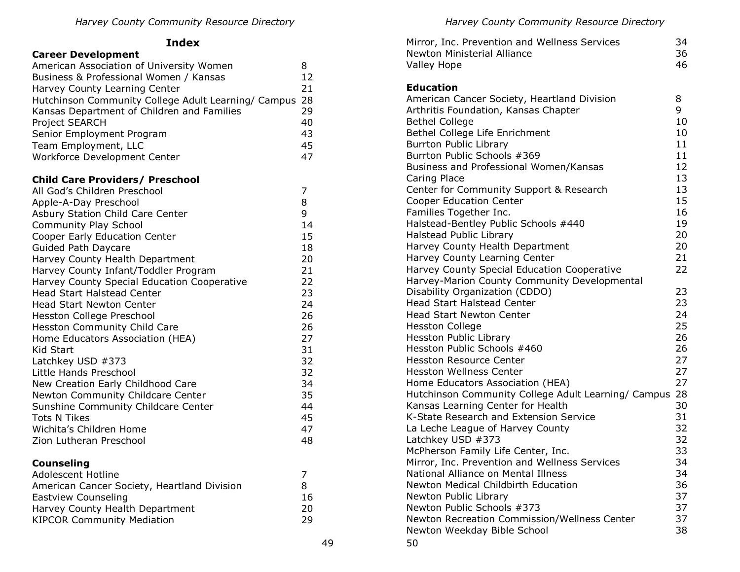# **Index**

| <b>Career Development</b> |  |
|---------------------------|--|
|---------------------------|--|

| American Association of University Women<br>Business & Professional Women / Kansas<br>Harvey County Learning Center<br>Hutchinson Community College Adult Learning/ Campus<br>Kansas Department of Children and Families<br>Project SEARCH<br>Senior Employment Program<br>Team Employment, LLC<br>Workforce Development Center                                                                                                                                                                                                                                                                                                                                                                                                                                                          | 8<br>12<br>21<br>28<br>29<br>40<br>43<br>45<br>47                                                                                   |
|------------------------------------------------------------------------------------------------------------------------------------------------------------------------------------------------------------------------------------------------------------------------------------------------------------------------------------------------------------------------------------------------------------------------------------------------------------------------------------------------------------------------------------------------------------------------------------------------------------------------------------------------------------------------------------------------------------------------------------------------------------------------------------------|-------------------------------------------------------------------------------------------------------------------------------------|
| <b>Child Care Providers/ Preschool</b><br>All God's Children Preschool<br>Apple-A-Day Preschool<br>Asbury Station Child Care Center<br>Community Play School<br>Cooper Early Education Center<br>Guided Path Daycare<br>Harvey County Health Department<br>Harvey County Infant/Toddler Program<br>Harvey County Special Education Cooperative<br><b>Head Start Halstead Center</b><br><b>Head Start Newton Center</b><br>Hesston College Preschool<br>Hesston Community Child Care<br>Home Educators Association (HEA)<br><b>Kid Start</b><br>Latchkey USD #373<br>Little Hands Preschool<br>New Creation Early Childhood Care<br>Newton Community Childcare Center<br>Sunshine Community Childcare Center<br><b>Tots N Tikes</b><br>Wichita's Children Home<br>Zion Lutheran Preschool | 7<br>8<br>9<br>14<br>15<br>18<br>20<br>21<br>22<br>23<br>24<br>26<br>26<br>27<br>31<br>32<br>32<br>34<br>35<br>44<br>45<br>47<br>48 |
| <b>Counseling</b><br>Adolescent Hotline<br>American Cancer Society, Heartland Division<br><b>Eastview Counseling</b><br>Harvey County Health Department<br><b>KIPCOR Community Mediation</b>                                                                                                                                                                                                                                                                                                                                                                                                                                                                                                                                                                                             | 7<br>8<br>16<br>20<br>29                                                                                                            |

| Mirror, Inc. Prevention and Wellness Services<br>Newton Ministerial Alliance         | 34<br>36 |
|--------------------------------------------------------------------------------------|----------|
| <b>Valley Hope</b>                                                                   | 46       |
| <b>Education</b>                                                                     |          |
| American Cancer Society, Heartland Division                                          | 8        |
| Arthritis Foundation, Kansas Chapter                                                 | 9        |
| <b>Bethel College</b>                                                                | 10       |
| Bethel College Life Enrichment                                                       | 10       |
| <b>Burrton Public Library</b>                                                        | 11       |
| Burrton Public Schools #369                                                          | 11       |
| Business and Professional Women/Kansas                                               | 12       |
| Caring Place                                                                         | 13       |
| Center for Community Support & Research                                              | 13       |
| <b>Cooper Education Center</b>                                                       | 15       |
| Families Together Inc.                                                               | 16       |
| Halstead-Bentley Public Schools #440                                                 | 19       |
| <b>Halstead Public Library</b>                                                       | 20       |
| Harvey County Health Department                                                      | 20       |
| Harvey County Learning Center                                                        | 21       |
| Harvey County Special Education Cooperative                                          | 22       |
| Harvey-Marion County Community Developmental                                         |          |
| Disability Organization (CDDO)                                                       | 23       |
| <b>Head Start Halstead Center</b>                                                    | 23       |
| <b>Head Start Newton Center</b>                                                      | 24       |
| <b>Hesston College</b>                                                               | 25       |
| <b>Hesston Public Library</b>                                                        | 26       |
| Hesston Public Schools #460                                                          | 26       |
| <b>Hesston Resource Center</b>                                                       | 27       |
| <b>Hesston Wellness Center</b>                                                       | 27       |
| Home Educators Association (HEA)                                                     | 27       |
| Hutchinson Community College Adult Learning/ Campus 28                               |          |
| Kansas Learning Center for Health                                                    | 30       |
| K-State Research and Extension Service                                               | 31       |
| La Leche League of Harvey County                                                     | 32       |
| Latchkey USD #373                                                                    | 32       |
| McPherson Family Life Center, Inc.                                                   | 33       |
| Mirror, Inc. Prevention and Wellness Services<br>National Alliance on Mental Illness | 34<br>34 |
| Newton Medical Childbirth Education                                                  | 36       |
| Newton Public Library                                                                | 37       |
| Newton Public Schools #373                                                           | 37       |
| Newton Recreation Commission/Wellness Center                                         | 37       |
| Newton Weekday Bible School                                                          | 38       |
| 50                                                                                   |          |
|                                                                                      |          |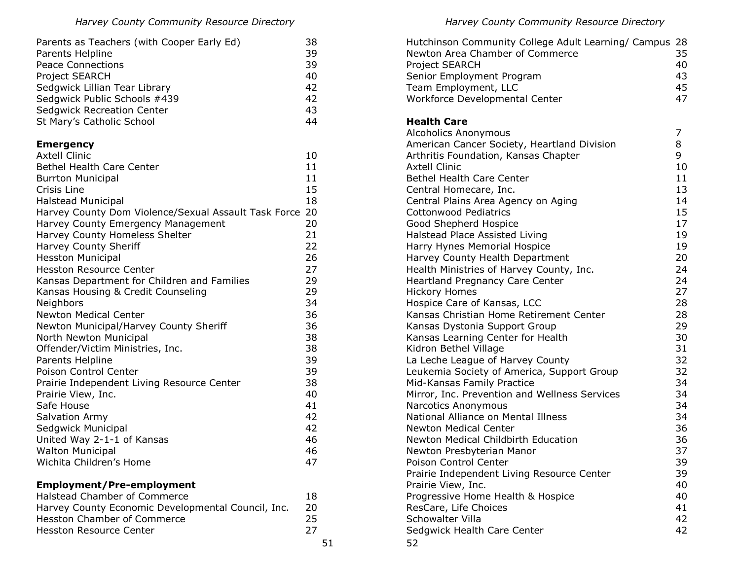| Parents as Teachers (with Cooper Early Ed) | 38 |
|--------------------------------------------|----|
| Parents Helpline                           | 39 |
| <b>Peace Connections</b>                   | 39 |
| Project SEARCH                             | 40 |
| Sedgwick Lillian Tear Library              | 42 |
| Sedgwick Public Schools #439               | 42 |
| <b>Sedgwick Recreation Center</b>          | 43 |
| St Mary's Catholic School                  | 44 |

# **Emergency**

| <b>Axtell Clinic</b>                                 | 10 |
|------------------------------------------------------|----|
| <b>Bethel Health Care Center</b>                     | 11 |
| <b>Burrton Municipal</b>                             | 11 |
| Crisis Line                                          | 15 |
| Halstead Municipal                                   | 18 |
| Harvey County Dom Violence/Sexual Assault Task Force | 20 |
| Harvey County Emergency Management                   | 20 |
| Harvey County Homeless Shelter                       | 21 |
| Harvey County Sheriff                                | 22 |
| <b>Hesston Municipal</b>                             | 26 |
| <b>Hesston Resource Center</b>                       | 27 |
| Kansas Department for Children and Families          | 29 |
| Kansas Housing & Credit Counseling                   | 29 |
| Neighbors                                            | 34 |
| <b>Newton Medical Center</b>                         | 36 |
| Newton Municipal/Harvey County Sheriff               | 36 |
| North Newton Municipal                               | 38 |
| Offender/Victim Ministries, Inc.                     | 38 |
| Parents Helpline                                     | 39 |
| Poison Control Center                                | 39 |
| Prairie Independent Living Resource Center           | 38 |
| Prairie View, Inc.                                   | 40 |
| Safe House                                           | 41 |
| <b>Salvation Army</b>                                | 42 |
| Sedgwick Municipal                                   | 42 |
| United Way 2-1-1 of Kansas                           | 46 |
| <b>Walton Municipal</b>                              | 46 |
| Wichita Children's Home                              | 47 |
|                                                      |    |

# **Employment/Pre-employment**

| Halstead Chamber of Commerce                       | 18 |
|----------------------------------------------------|----|
| Harvey County Economic Developmental Council, Inc. | 20 |
| Hesston Chamber of Commerce                        | 25 |
| Hesston Resource Center                            | 27 |
|                                                    |    |

51

*Harvey County Community Resource Directory* 

| Hutchinson Community College Adult Learning/ Campus 28<br>Newton Area Chamber of Commerce<br>Project SEARCH<br>Senior Employment Program<br>Team Employment, LLC<br>Workforce Developmental Center | 35<br>40<br>43<br>45<br>47 |
|----------------------------------------------------------------------------------------------------------------------------------------------------------------------------------------------------|----------------------------|
| <b>Health Care</b><br><b>Alcoholics Anonymous</b>                                                                                                                                                  | 7                          |
| American Cancer Society, Heartland Division                                                                                                                                                        | 8                          |
| Arthritis Foundation, Kansas Chapter                                                                                                                                                               | 9                          |
| <b>Axtell Clinic</b>                                                                                                                                                                               | 10                         |
| <b>Bethel Health Care Center</b>                                                                                                                                                                   | 11                         |
| Central Homecare, Inc.                                                                                                                                                                             | 13                         |
| Central Plains Area Agency on Aging                                                                                                                                                                | 14                         |
| <b>Cottonwood Pediatrics</b>                                                                                                                                                                       | 15                         |
| Good Shepherd Hospice                                                                                                                                                                              | 17                         |
| Halstead Place Assisted Living                                                                                                                                                                     | 19                         |
| Harry Hynes Memorial Hospice                                                                                                                                                                       | 19                         |
| Harvey County Health Department                                                                                                                                                                    | 20                         |
| Health Ministries of Harvey County, Inc.                                                                                                                                                           | 24<br>24                   |
| <b>Heartland Pregnancy Care Center</b><br><b>Hickory Homes</b>                                                                                                                                     | 27                         |
| Hospice Care of Kansas, LCC                                                                                                                                                                        | 28                         |
| Kansas Christian Home Retirement Center                                                                                                                                                            | 28                         |
| Kansas Dystonia Support Group                                                                                                                                                                      | 29                         |
| Kansas Learning Center for Health                                                                                                                                                                  | 30                         |
| Kidron Bethel Village                                                                                                                                                                              | 31                         |
| La Leche League of Harvey County                                                                                                                                                                   | 32                         |
| Leukemia Society of America, Support Group                                                                                                                                                         | 32                         |
| Mid-Kansas Family Practice                                                                                                                                                                         | 34                         |
| Mirror, Inc. Prevention and Wellness Services                                                                                                                                                      | 34                         |
| Narcotics Anonymous                                                                                                                                                                                | 34                         |
| National Alliance on Mental Illness<br><b>Newton Medical Center</b>                                                                                                                                | 34<br>36                   |
| Newton Medical Childbirth Education                                                                                                                                                                | 36                         |
| Newton Presbyterian Manor                                                                                                                                                                          | 37                         |
| Poison Control Center                                                                                                                                                                              | 39                         |
| Prairie Independent Living Resource Center                                                                                                                                                         | 39                         |
| Prairie View, Inc.                                                                                                                                                                                 | 40                         |
| Progressive Home Health & Hospice                                                                                                                                                                  | 40                         |
| ResCare, Life Choices                                                                                                                                                                              | 41                         |
| Schowalter Villa                                                                                                                                                                                   | 42                         |
| Sedgwick Health Care Center                                                                                                                                                                        | 42                         |
| 52                                                                                                                                                                                                 |                            |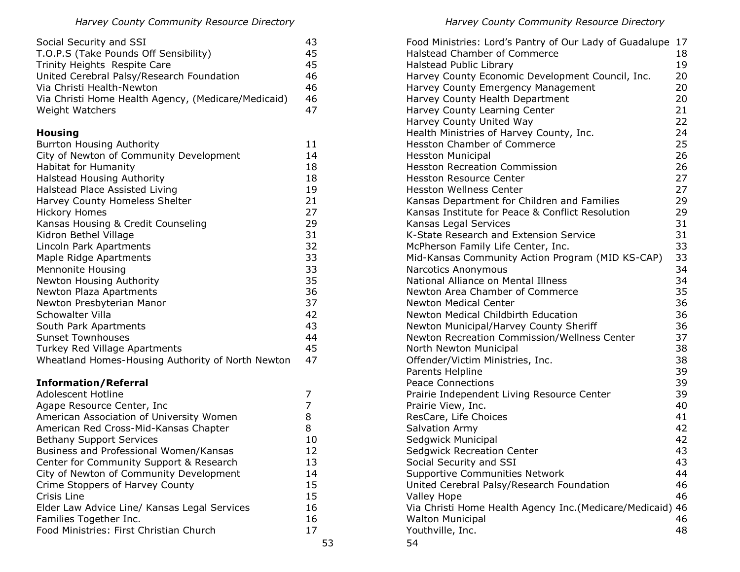| Social Security and SSI                             | 43 |
|-----------------------------------------------------|----|
| T.O.P.S (Take Pounds Off Sensibility)               |    |
| Trinity Heights Respite Care                        | 45 |
| United Cerebral Palsy/Research Foundation           |    |
| Via Christi Health-Newton                           | 46 |
| Via Christi Home Health Agency, (Medicare/Medicaid) | 46 |
| Weight Watchers                                     |    |

# **Housing**

| <b>Burrton Housing Authority</b>                  | 11 |    |
|---------------------------------------------------|----|----|
| City of Newton of Community Development           | 14 |    |
| <b>Habitat for Humanity</b>                       | 18 |    |
| <b>Halstead Housing Authority</b>                 | 18 |    |
| Halstead Place Assisted Living                    | 19 |    |
| Harvey County Homeless Shelter                    | 21 |    |
| <b>Hickory Homes</b>                              | 27 |    |
| Kansas Housing & Credit Counseling                | 29 |    |
| Kidron Bethel Village                             | 31 |    |
| Lincoln Park Apartments                           | 32 |    |
| Maple Ridge Apartments                            | 33 |    |
| Mennonite Housing                                 | 33 |    |
| Newton Housing Authority                          | 35 |    |
| Newton Plaza Apartments                           | 36 |    |
| Newton Presbyterian Manor                         | 37 |    |
| Schowalter Villa                                  | 42 |    |
| South Park Apartments                             | 43 |    |
| <b>Sunset Townhouses</b>                          | 44 |    |
| Turkey Red Village Apartments                     | 45 |    |
| Wheatland Homes-Housing Authority of North Newton | 47 |    |
| <b>Information/Referral</b>                       |    |    |
| <b>Adolescent Hotline</b>                         | 7  |    |
| Agape Resource Center, Inc.                       | 7  |    |
| American Association of University Women          | 8  |    |
| American Red Cross-Mid-Kansas Chapter             | 8  |    |
| <b>Bethany Support Services</b>                   | 10 |    |
| Business and Professional Women/Kansas            | 12 |    |
| Center for Community Support & Research           | 13 |    |
| City of Newton of Community Development           | 14 |    |
| Crime Stoppers of Harvey County                   | 15 |    |
| Crisis Line                                       | 15 |    |
| Elder Law Advice Line/ Kansas Legal Services      | 16 |    |
| Families Together Inc.                            | 16 |    |
| Food Ministries: First Christian Church           | 17 |    |
|                                                   |    | 53 |

| Food Ministries: Lord's Pantry of Our Lady of Guadalupe   | 17 |
|-----------------------------------------------------------|----|
| <b>Halstead Chamber of Commerce</b>                       | 18 |
| <b>Halstead Public Library</b>                            | 19 |
| Harvey County Economic Development Council, Inc.          | 20 |
| Harvey County Emergency Management                        | 20 |
| Harvey County Health Department                           | 20 |
| Harvey County Learning Center                             | 21 |
| Harvey County United Way                                  | 22 |
| Health Ministries of Harvey County, Inc.                  | 24 |
| <b>Hesston Chamber of Commerce</b>                        | 25 |
| <b>Hesston Municipal</b>                                  | 26 |
| <b>Hesston Recreation Commission</b>                      | 26 |
| <b>Hesston Resource Center</b>                            | 27 |
| <b>Hesston Wellness Center</b>                            | 27 |
| Kansas Department for Children and Families               | 29 |
| Kansas Institute for Peace & Conflict Resolution          | 29 |
| Kansas Legal Services                                     | 31 |
| K-State Research and Extension Service                    | 31 |
| McPherson Family Life Center, Inc.                        | 33 |
| Mid-Kansas Community Action Program (MID KS-CAP)          | 33 |
| Narcotics Anonymous                                       | 34 |
| National Alliance on Mental Illness                       | 34 |
| Newton Area Chamber of Commerce                           | 35 |
| <b>Newton Medical Center</b>                              | 36 |
| <b>Newton Medical Childbirth Education</b>                | 36 |
| Newton Municipal/Harvey County Sheriff                    | 36 |
| Newton Recreation Commission/Wellness Center              | 37 |
| North Newton Municipal                                    | 38 |
| Offender/Victim Ministries, Inc.                          | 38 |
| Parents Helpline                                          | 39 |
| <b>Peace Connections</b>                                  | 39 |
| Prairie Independent Living Resource Center                | 39 |
| Prairie View, Inc.                                        | 40 |
| ResCare, Life Choices                                     | 41 |
| Salvation Army                                            | 42 |
| Sedgwick Municipal                                        | 42 |
| <b>Sedgwick Recreation Center</b>                         | 43 |
| Social Security and SSI                                   | 43 |
| <b>Supportive Communities Network</b>                     | 44 |
| United Cerebral Palsy/Research Foundation                 | 46 |
| <b>Valley Hope</b>                                        | 46 |
| Via Christi Home Health Agency Inc.(Medicare/Medicaid) 46 |    |
| <b>Walton Municipal</b>                                   | 46 |
| Youthville, Inc.                                          | 48 |
| 54                                                        |    |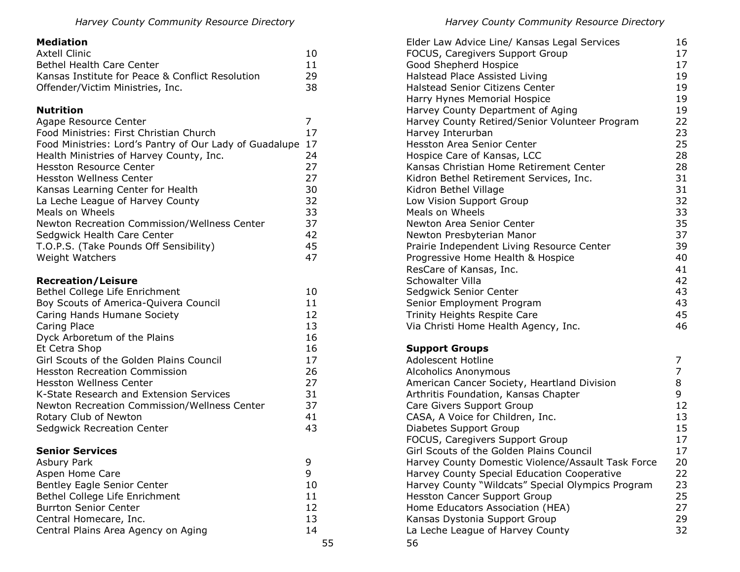# **Mediation**

| Axtell Clinic                                    | 10 |
|--------------------------------------------------|----|
| Bethel Health Care Center                        | 11 |
| Kansas Institute for Peace & Conflict Resolution | 29 |
| Offender/Victim Ministries, Inc.                 | 38 |

# **Nutrition**

| Agape Resource Center                                   |    |
|---------------------------------------------------------|----|
| Food Ministries: First Christian Church                 | 17 |
| Food Ministries: Lord's Pantry of Our Lady of Guadalupe | 17 |
| Health Ministries of Harvey County, Inc.                | 24 |
| <b>Hesston Resource Center</b>                          | 27 |
| Hesston Wellness Center                                 | 27 |
| Kansas Learning Center for Health                       | 30 |
| La Leche League of Harvey County                        | 32 |
| Meals on Wheels                                         | 33 |
| Newton Recreation Commission/Wellness Center            | 37 |
| Sedgwick Health Care Center                             | 42 |
| T.O.P.S. (Take Pounds Off Sensibility)                  | 45 |
| <b>Weight Watchers</b>                                  | 47 |

# **Recreation/Leisure**

| Bethel College Life Enrichment               | 10 |
|----------------------------------------------|----|
| Boy Scouts of America-Quivera Council        | 11 |
| Caring Hands Humane Society                  | 12 |
| Caring Place                                 | 13 |
| Dyck Arboretum of the Plains                 | 16 |
| Et Cetra Shop                                | 16 |
| Girl Scouts of the Golden Plains Council     | 17 |
| <b>Hesston Recreation Commission</b>         | 26 |
| Hesston Wellness Center                      | 27 |
| K-State Research and Extension Services      | 31 |
| Newton Recreation Commission/Wellness Center | 37 |
| Rotary Club of Newton                        | 41 |
| <b>Sedgwick Recreation Center</b>            | 43 |
| <b>Senior Services</b>                       |    |
| Asbury Park                                  | 9  |
| Aspen Home Care                              | 9  |
| Bentley Eagle Senior Center                  | 10 |
| Bethel College Life Enrichment               | 11 |

Burrton Senior Center 12 Central Homecare, Inc. 13 Central Plains Area Agency on Aging 14

| Elder Law Advice Line/ Kansas Legal Services<br>FOCUS, Caregivers Support Group | 16<br>17       |
|---------------------------------------------------------------------------------|----------------|
| Good Shepherd Hospice                                                           | 17             |
| Halstead Place Assisted Living                                                  | 19             |
| <b>Halstead Senior Citizens Center</b>                                          | 19             |
| Harry Hynes Memorial Hospice                                                    | 19             |
| Harvey County Department of Aging                                               | 19             |
| Harvey County Retired/Senior Volunteer Program                                  | 22             |
| Harvey Interurban                                                               | 23             |
| <b>Hesston Area Senior Center</b>                                               | 25             |
| Hospice Care of Kansas, LCC                                                     | 28             |
| Kansas Christian Home Retirement Center                                         | 28             |
| Kidron Bethel Retirement Services, Inc.                                         | 31             |
| Kidron Bethel Village                                                           | 31             |
| Low Vision Support Group                                                        | 32             |
| Meals on Wheels                                                                 | 33             |
| Newton Area Senior Center                                                       | 35             |
| Newton Presbyterian Manor                                                       | 37             |
| Prairie Independent Living Resource Center                                      | 39             |
| Progressive Home Health & Hospice                                               | 40             |
| ResCare of Kansas, Inc.                                                         | 41             |
| <b>Schowalter Villa</b>                                                         | 42             |
| Sedgwick Senior Center                                                          | 43             |
| Senior Employment Program                                                       | 43             |
| Trinity Heights Respite Care                                                    | 45             |
| Via Christi Home Health Agency, Inc.                                            | 46             |
| <b>Support Groups</b>                                                           |                |
| Adolescent Hotline                                                              |                |
| <b>Alcoholics Anonymous</b>                                                     | $\overline{7}$ |
| American Cancer Society, Heartland Division                                     | 8              |

| AILVIIVIILS AIIVIIVIIIVUS                          |    |
|----------------------------------------------------|----|
| American Cancer Society, Heartland Division        | 8  |
| Arthritis Foundation, Kansas Chapter               | 9  |
| Care Givers Support Group                          | 12 |
| CASA, A Voice for Children, Inc.                   | 13 |
| Diabetes Support Group                             | 15 |
| FOCUS, Caregivers Support Group                    | 17 |
| Girl Scouts of the Golden Plains Council           | 17 |
| Harvey County Domestic Violence/Assault Task Force | 20 |
| Harvey County Special Education Cooperative        | 22 |
| Harvey County "Wildcats" Special Olympics Program  | 23 |
| <b>Hesston Cancer Support Group</b>                | 25 |
| Home Educators Association (HEA)                   | 27 |
| Kansas Dystonia Support Group                      | 29 |
| La Leche League of Harvey County                   | 32 |
| 56                                                 |    |